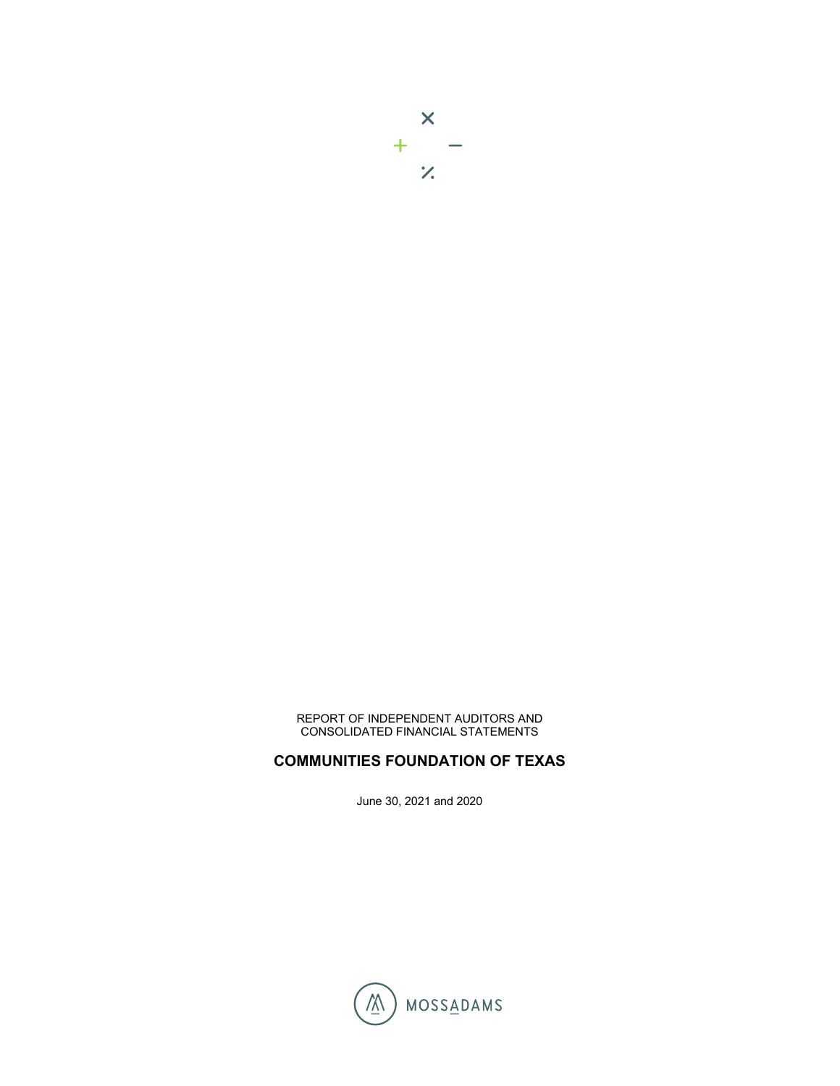

REPORT OF INDEPENDENT AUDITORS AND CONSOLIDATED FINANCIAL STATEMENTS

## **COMMUNITIES FOUNDATION OF TEXAS**

June 30, 2021 and 2020

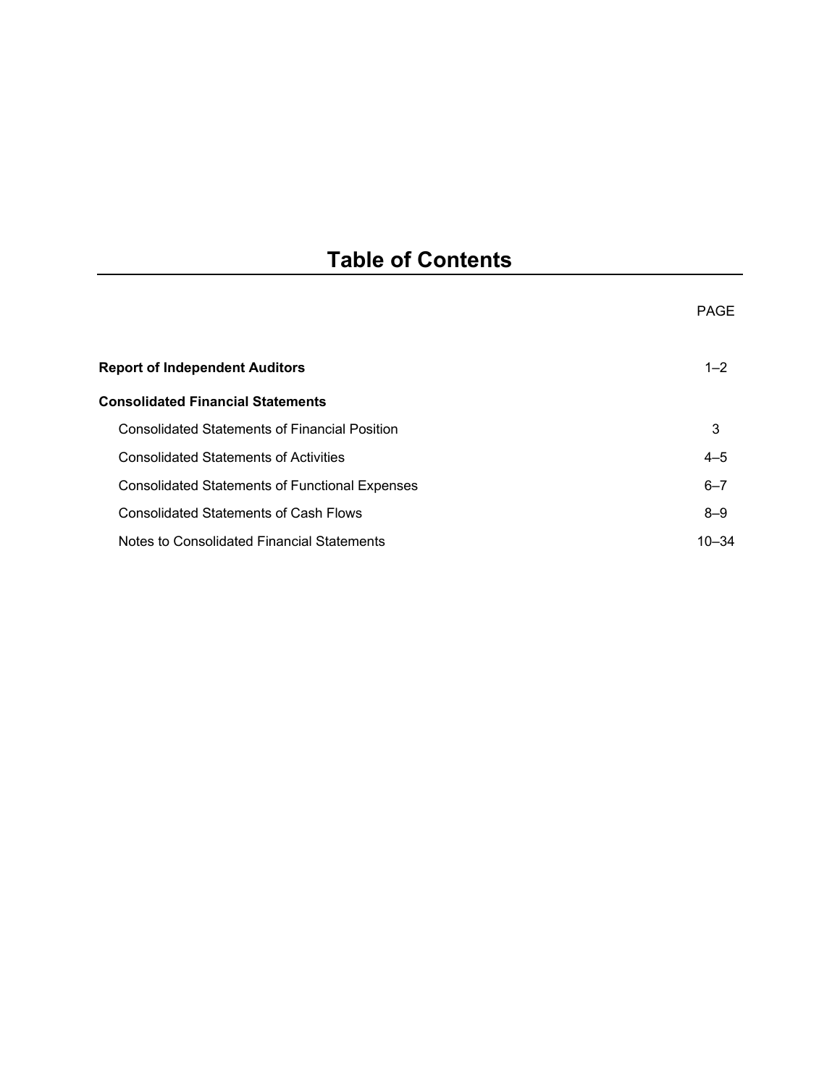# **Table of Contents**

|                                                       | PAGE      |
|-------------------------------------------------------|-----------|
| <b>Report of Independent Auditors</b>                 | $1 - 2$   |
| <b>Consolidated Financial Statements</b>              |           |
| <b>Consolidated Statements of Financial Position</b>  | 3         |
| <b>Consolidated Statements of Activities</b>          | $4 - 5$   |
| <b>Consolidated Statements of Functional Expenses</b> | $6 - 7$   |
| <b>Consolidated Statements of Cash Flows</b>          | $8 - 9$   |
| Notes to Consolidated Financial Statements            | $10 - 34$ |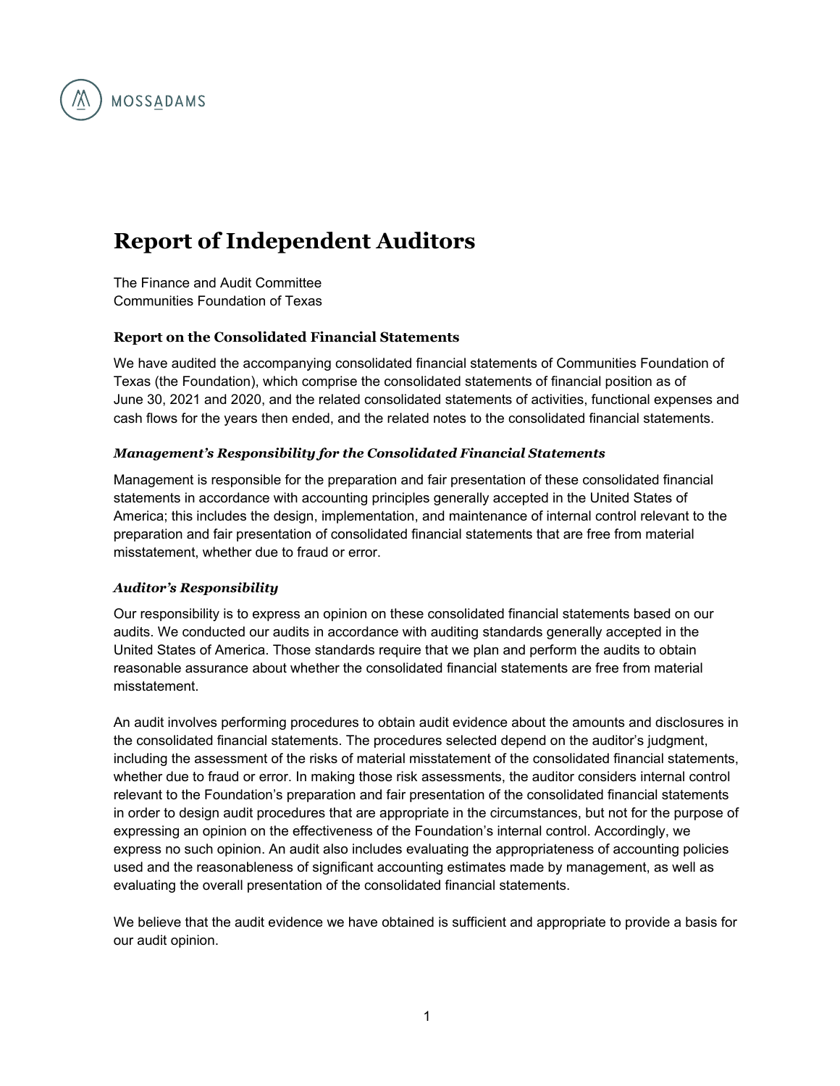

# **Report of Independent Auditors**

The Finance and Audit Committee Communities Foundation of Texas

#### **Report on the Consolidated Financial Statements**

We have audited the accompanying consolidated financial statements of Communities Foundation of Texas (the Foundation), which comprise the consolidated statements of financial position as of June 30, 2021 and 2020, and the related consolidated statements of activities, functional expenses and cash flows for the years then ended, and the related notes to the consolidated financial statements.

#### *Management's Responsibility for the Consolidated Financial Statements*

Management is responsible for the preparation and fair presentation of these consolidated financial statements in accordance with accounting principles generally accepted in the United States of America; this includes the design, implementation, and maintenance of internal control relevant to the preparation and fair presentation of consolidated financial statements that are free from material misstatement, whether due to fraud or error.

#### *Auditor's Responsibility*

Our responsibility is to express an opinion on these consolidated financial statements based on our audits. We conducted our audits in accordance with auditing standards generally accepted in the United States of America. Those standards require that we plan and perform the audits to obtain reasonable assurance about whether the consolidated financial statements are free from material misstatement.

An audit involves performing procedures to obtain audit evidence about the amounts and disclosures in the consolidated financial statements. The procedures selected depend on the auditor's judgment, including the assessment of the risks of material misstatement of the consolidated financial statements, whether due to fraud or error. In making those risk assessments, the auditor considers internal control relevant to the Foundation's preparation and fair presentation of the consolidated financial statements in order to design audit procedures that are appropriate in the circumstances, but not for the purpose of expressing an opinion on the effectiveness of the Foundation's internal control. Accordingly, we express no such opinion. An audit also includes evaluating the appropriateness of accounting policies used and the reasonableness of significant accounting estimates made by management, as well as evaluating the overall presentation of the consolidated financial statements.

We believe that the audit evidence we have obtained is sufficient and appropriate to provide a basis for our audit opinion.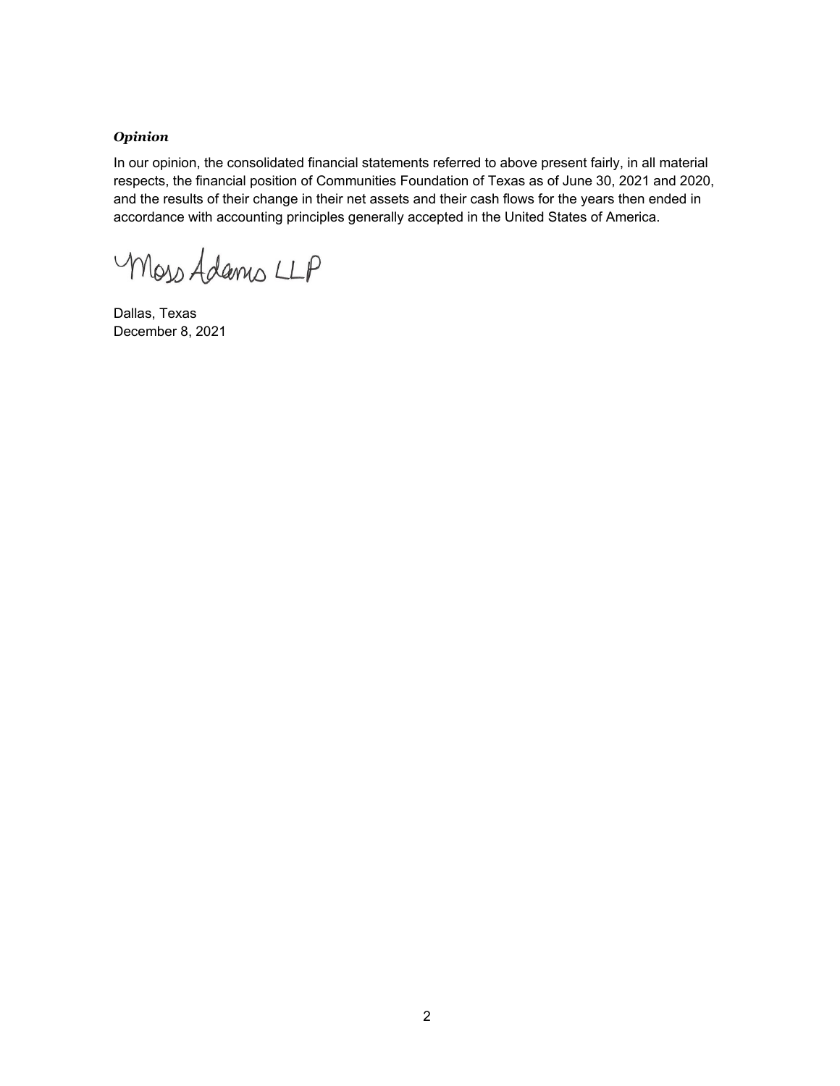#### *Opinion*

In our opinion, the consolidated financial statements referred to above present fairly, in all material respects, the financial position of Communities Foundation of Texas as of June 30, 2021 and 2020, and the results of their change in their net assets and their cash flows for the years then ended in accordance with accounting principles generally accepted in the United States of America.

Moss Adams LLP

Dallas, Texas December 8, 2021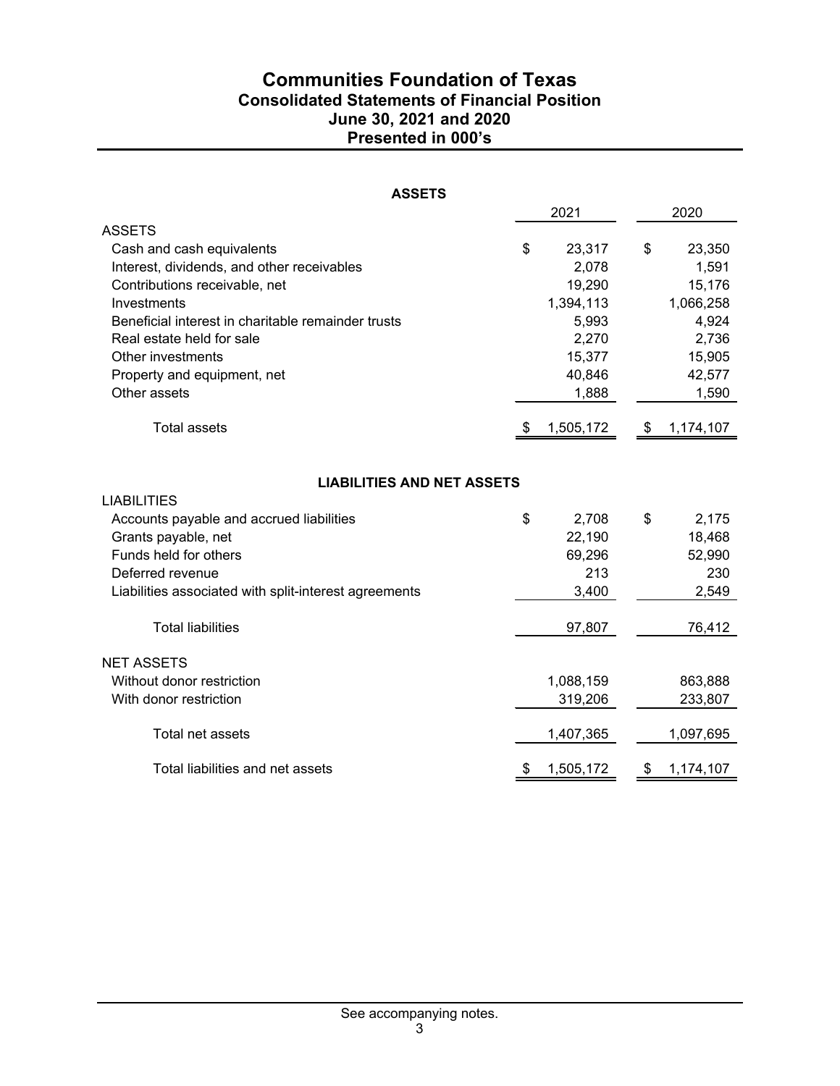# **Communities Foundation of Texas Consolidated Statements of Financial Position June 30, 2021 and 2020 Presented in 000's**

| <b>ASSETS</b>                                           |    |           |    |           |  |  |  |
|---------------------------------------------------------|----|-----------|----|-----------|--|--|--|
|                                                         |    | 2021      |    | 2020      |  |  |  |
| <b>ASSETS</b>                                           |    |           |    |           |  |  |  |
| Cash and cash equivalents                               | \$ | 23,317    | \$ | 23,350    |  |  |  |
| Interest, dividends, and other receivables              |    | 2,078     |    | 1,591     |  |  |  |
| Contributions receivable, net                           |    | 19,290    |    | 15,176    |  |  |  |
| Investments                                             |    | 1,394,113 |    | 1,066,258 |  |  |  |
| Beneficial interest in charitable remainder trusts      |    | 5,993     |    | 4,924     |  |  |  |
| Real estate held for sale                               |    | 2,270     |    | 2,736     |  |  |  |
| Other investments                                       |    | 15,377    |    | 15,905    |  |  |  |
| Property and equipment, net                             |    | 40,846    |    | 42,577    |  |  |  |
| Other assets                                            |    | 1,888     |    | 1,590     |  |  |  |
| <b>Total assets</b>                                     |    | 1,505,172 | \$ | 1,174,107 |  |  |  |
| <b>LIABILITIES AND NET ASSETS</b><br><b>LIABILITIES</b> |    |           |    |           |  |  |  |
| Accounts payable and accrued liabilities                | \$ | 2,708     | \$ | 2,175     |  |  |  |
| Grants payable, net                                     |    | 22,190    |    | 18,468    |  |  |  |
| Funds held for others                                   |    | 69,296    |    | 52,990    |  |  |  |
| Deferred revenue                                        |    | 213       |    | 230       |  |  |  |
| Liabilities associated with split-interest agreements   |    | 3,400     |    | 2,549     |  |  |  |
| <b>Total liabilities</b>                                |    | 97,807    |    | 76,412    |  |  |  |
| <b>NET ASSETS</b>                                       |    |           |    |           |  |  |  |
| Without donor restriction                               |    | 1,088,159 |    | 863,888   |  |  |  |
| With donor restriction                                  |    | 319,206   |    | 233,807   |  |  |  |
| Total net assets                                        |    | 1,407,365 |    | 1,097,695 |  |  |  |
| Total liabilities and net assets                        | \$ | 1,505,172 | \$ | 1,174,107 |  |  |  |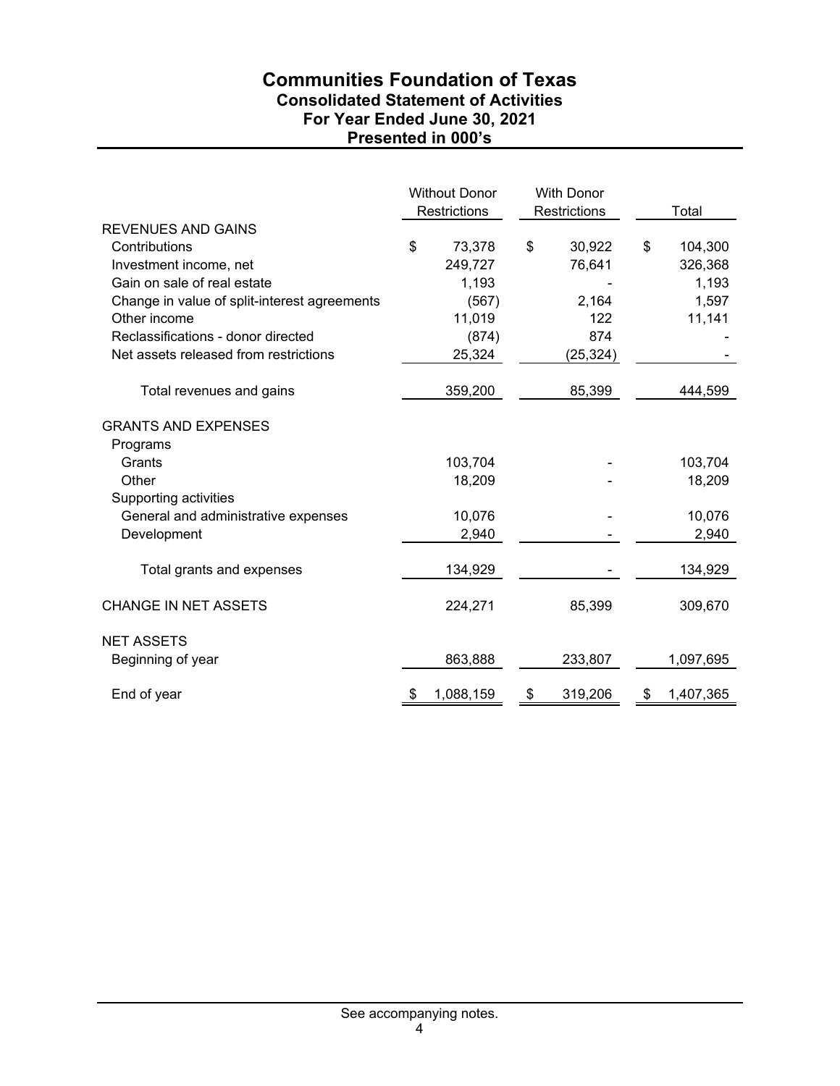# **Communities Foundation of Texas Consolidated Statement of Activities For Year Ended June 30, 2021 Presented in 000's**

|                                              | <b>Without Donor</b><br>Restrictions |           | <b>With Donor</b><br>Restrictions |                 | Total |
|----------------------------------------------|--------------------------------------|-----------|-----------------------------------|-----------------|-------|
| <b>REVENUES AND GAINS</b>                    |                                      |           |                                   |                 |       |
| Contributions                                | \$                                   | 73,378    | \$<br>30,922                      | \$<br>104,300   |       |
| Investment income, net                       |                                      | 249,727   | 76,641                            | 326,368         |       |
| Gain on sale of real estate                  |                                      | 1,193     |                                   | 1,193           |       |
| Change in value of split-interest agreements |                                      | (567)     | 2,164                             | 1,597           |       |
| Other income                                 |                                      | 11,019    | 122                               | 11,141          |       |
| Reclassifications - donor directed           |                                      | (874)     | 874                               |                 |       |
| Net assets released from restrictions        |                                      | 25,324    | (25, 324)                         |                 |       |
| Total revenues and gains                     |                                      | 359,200   | 85,399                            | 444,599         |       |
| <b>GRANTS AND EXPENSES</b>                   |                                      |           |                                   |                 |       |
| Programs                                     |                                      |           |                                   |                 |       |
| Grants                                       |                                      | 103,704   |                                   | 103,704         |       |
| Other                                        |                                      | 18,209    |                                   | 18,209          |       |
| Supporting activities                        |                                      |           |                                   |                 |       |
| General and administrative expenses          |                                      | 10,076    |                                   | 10,076          |       |
| Development                                  |                                      | 2,940     |                                   | 2,940           |       |
| Total grants and expenses                    |                                      | 134,929   |                                   | 134,929         |       |
| <b>CHANGE IN NET ASSETS</b>                  |                                      | 224,271   | 85,399                            | 309,670         |       |
| <b>NET ASSETS</b>                            |                                      |           |                                   |                 |       |
| Beginning of year                            |                                      | 863,888   | 233,807                           | 1,097,695       |       |
| End of year                                  | \$                                   | 1,088,159 | \$<br>319,206                     | \$<br>1,407,365 |       |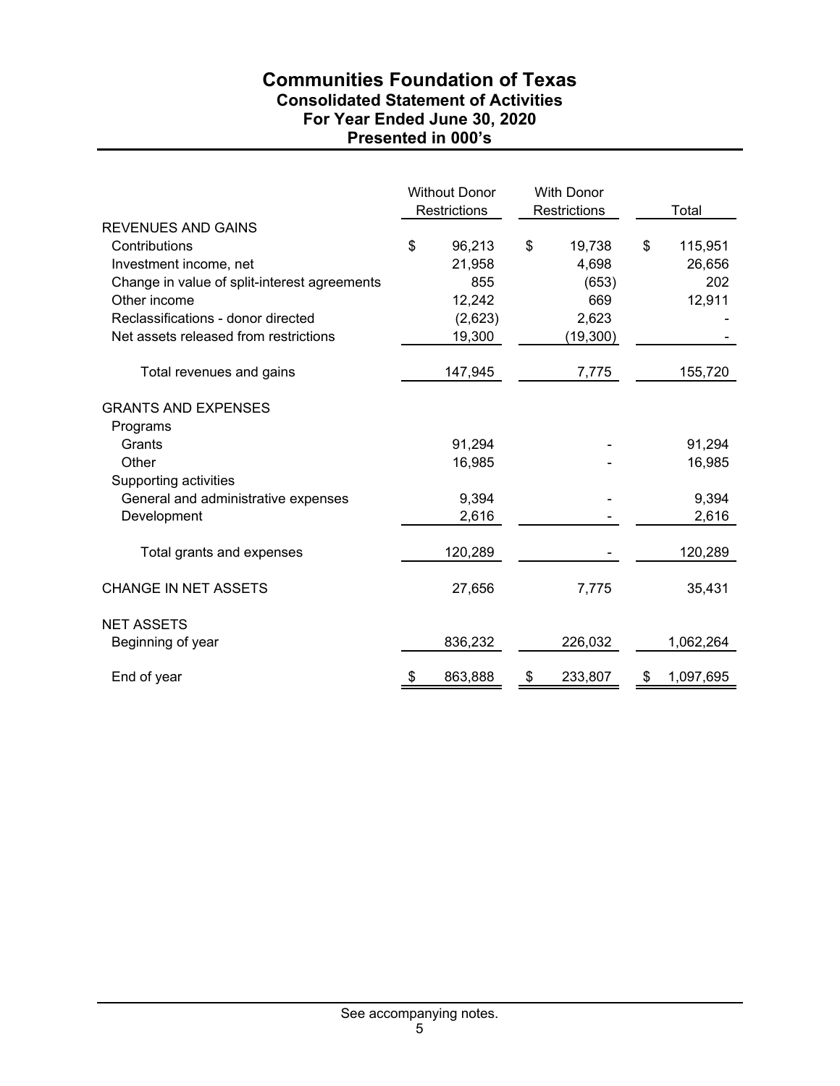## **Communities Foundation of Texas Consolidated Statement of Activities For Year Ended June 30, 2020 Presented in 000's**

|                                                                                                                                                                                                                     | <b>Without Donor</b><br>Restrictions                         | <b>With Donor</b><br>Restrictions                           |    | Total                              |
|---------------------------------------------------------------------------------------------------------------------------------------------------------------------------------------------------------------------|--------------------------------------------------------------|-------------------------------------------------------------|----|------------------------------------|
| <b>REVENUES AND GAINS</b><br>Contributions<br>Investment income, net<br>Change in value of split-interest agreements<br>Other income<br>Reclassifications - donor directed<br>Net assets released from restrictions | \$<br>96,213<br>21,958<br>855<br>12,242<br>(2,623)<br>19,300 | \$<br>19,738<br>4,698<br>(653)<br>669<br>2,623<br>(19, 300) | \$ | 115,951<br>26,656<br>202<br>12,911 |
| Total revenues and gains                                                                                                                                                                                            | 147,945                                                      | 7,775                                                       |    | 155,720                            |
| <b>GRANTS AND EXPENSES</b><br>Programs<br>Grants<br>Other<br>Supporting activities<br>General and administrative expenses                                                                                           | 91,294<br>16,985<br>9,394                                    |                                                             |    | 91,294<br>16,985<br>9,394          |
| Development                                                                                                                                                                                                         | 2,616                                                        |                                                             |    | 2,616                              |
| Total grants and expenses                                                                                                                                                                                           | 120,289                                                      |                                                             |    | 120,289                            |
| <b>CHANGE IN NET ASSETS</b>                                                                                                                                                                                         | 27,656                                                       | 7,775                                                       |    | 35,431                             |
| <b>NET ASSETS</b><br>Beginning of year                                                                                                                                                                              | 836,232                                                      | 226,032                                                     |    | 1,062,264                          |
| End of year                                                                                                                                                                                                         | \$<br>863,888                                                | \$<br>233,807                                               | \$ | 1,097,695                          |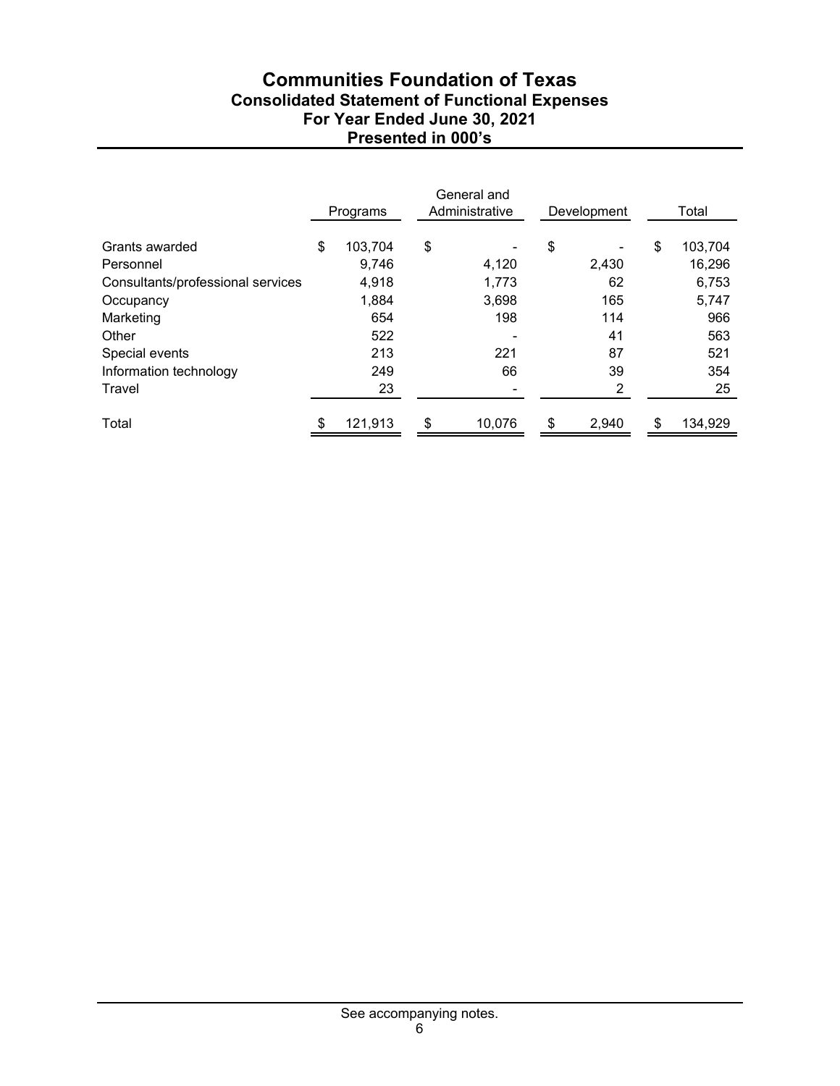# **Communities Foundation of Texas Consolidated Statement of Functional Expenses For Year Ended June 30, 2021 Presented in 000's**

|                                   |     | Programs | General and<br>Administrative |    | Development |    | Total   |
|-----------------------------------|-----|----------|-------------------------------|----|-------------|----|---------|
| Grants awarded                    | \$  | 103,704  | \$                            | \$ |             | \$ | 103,704 |
| Personnel                         |     | 9,746    | 4,120                         |    | 2,430       |    | 16,296  |
| Consultants/professional services |     | 4,918    | 1,773                         |    | 62          |    | 6,753   |
| Occupancy                         |     | 1,884    | 3,698                         |    | 165         |    | 5,747   |
| Marketing                         |     | 654      | 198                           |    | 114         |    | 966     |
| Other                             |     | 522      |                               |    | 41          |    | 563     |
| Special events                    |     | 213      | 221                           |    | 87          |    | 521     |
| Information technology            |     | 249      | 66                            |    | 39          |    | 354     |
| Travel                            |     | 23       |                               |    | 2           |    | 25      |
| Total                             | \$. | 121,913  | \$<br>10,076                  | S  | 2,940       | ß. | 134,929 |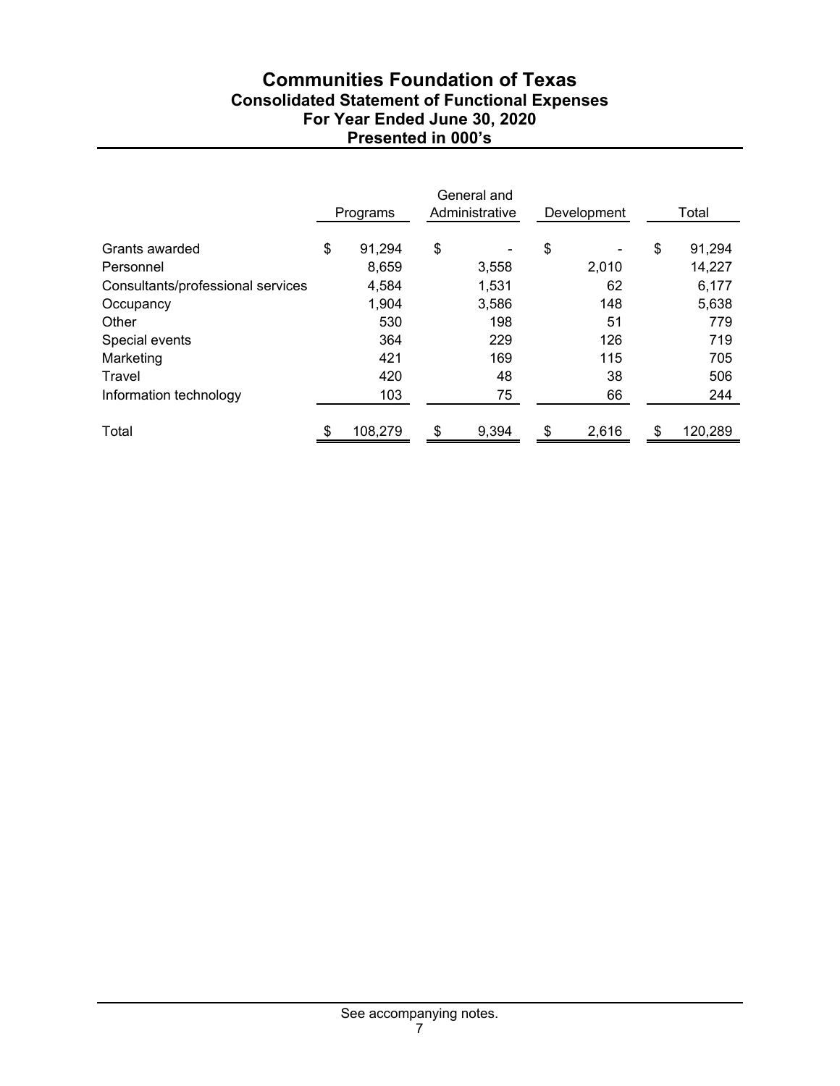# **Communities Foundation of Texas Consolidated Statement of Functional Expenses For Year Ended June 30, 2020 Presented in 000's**

|                                   | Programs      | General and<br>Administrative | Development          | Total         |
|-----------------------------------|---------------|-------------------------------|----------------------|---------------|
| Grants awarded                    | \$<br>91,294  | \$                            | \$<br>$\blacksquare$ | \$<br>91,294  |
| Personnel                         | 8,659         | 3,558                         | 2,010                | 14,227        |
| Consultants/professional services | 4,584         | 1,531                         | 62                   | 6,177         |
| Occupancy                         | 1,904         | 3,586                         | 148                  | 5,638         |
| Other                             | 530           | 198                           | 51                   | 779           |
| Special events                    | 364           | 229                           | 126                  | 719           |
| Marketing                         | 421           | 169                           | 115                  | 705           |
| Travel                            | 420           | 48                            | 38                   | 506           |
| Information technology            | 103           | 75                            | 66                   | 244           |
| Total                             | \$<br>108,279 | \$<br>9,394                   | \$<br>2,616          | \$<br>120,289 |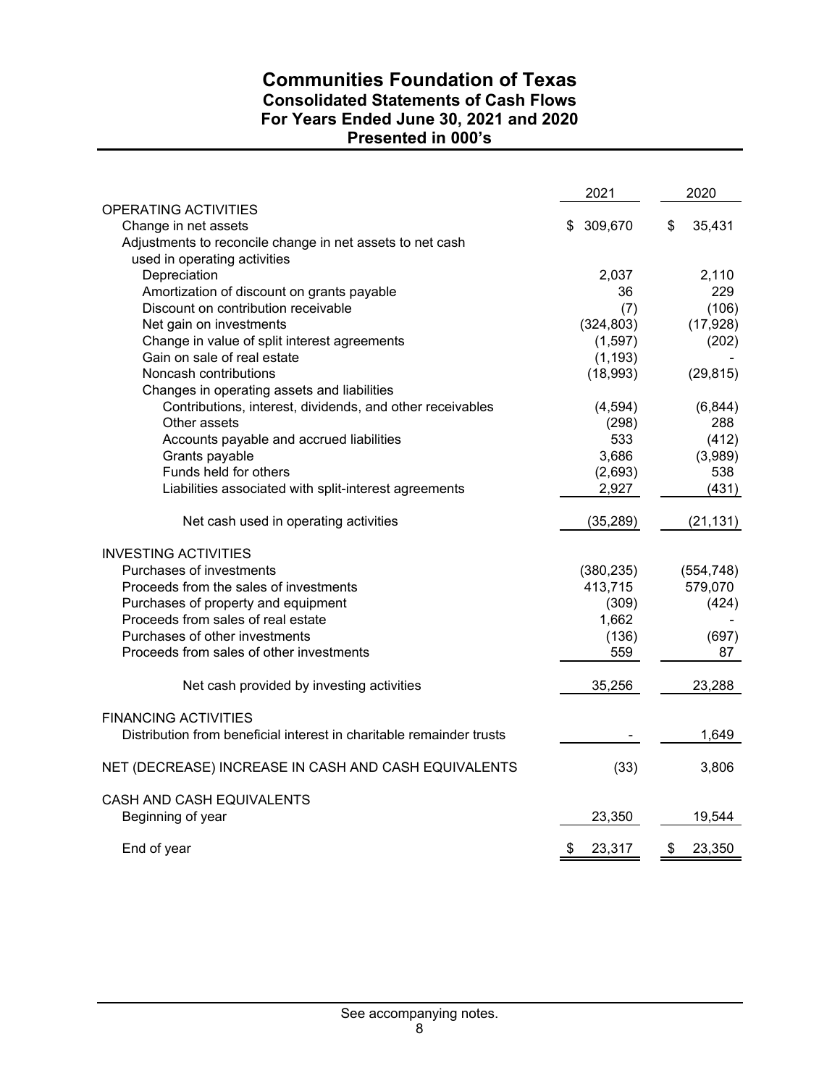# **Communities Foundation of Texas Consolidated Statements of Cash Flows For Years Ended June 30, 2021 and 2020 Presented in 000's**

|                                                                      | 2021          | 2020         |
|----------------------------------------------------------------------|---------------|--------------|
| OPERATING ACTIVITIES                                                 |               |              |
| Change in net assets                                                 | 309,670<br>\$ | \$<br>35,431 |
| Adjustments to reconcile change in net assets to net cash            |               |              |
| used in operating activities                                         |               |              |
| Depreciation                                                         | 2,037         | 2,110        |
| Amortization of discount on grants payable                           | 36            | 229          |
| Discount on contribution receivable                                  | (7)           | (106)        |
| Net gain on investments                                              | (324, 803)    | (17, 928)    |
| Change in value of split interest agreements                         | (1, 597)      | (202)        |
| Gain on sale of real estate                                          | (1, 193)      |              |
| Noncash contributions                                                | (18,993)      | (29, 815)    |
| Changes in operating assets and liabilities                          |               |              |
| Contributions, interest, dividends, and other receivables            | (4,594)       | (6, 844)     |
| Other assets                                                         | (298)         | 288          |
| Accounts payable and accrued liabilities                             | 533           | (412)        |
| Grants payable                                                       | 3,686         | (3,989)      |
| Funds held for others                                                | (2,693)       | 538          |
| Liabilities associated with split-interest agreements                | 2,927         | (431)        |
| Net cash used in operating activities                                | (35, 289)     | (21, 131)    |
| <b>INVESTING ACTIVITIES</b>                                          |               |              |
| Purchases of investments                                             | (380, 235)    | (554, 748)   |
| Proceeds from the sales of investments                               | 413,715       | 579,070      |
| Purchases of property and equipment                                  | (309)         | (424)        |
| Proceeds from sales of real estate                                   | 1,662         |              |
| Purchases of other investments                                       | (136)         | (697)        |
| Proceeds from sales of other investments                             | 559           | 87           |
| Net cash provided by investing activities                            | 35,256        | 23,288       |
| <b>FINANCING ACTIVITIES</b>                                          |               |              |
| Distribution from beneficial interest in charitable remainder trusts |               | 1,649        |
| NET (DECREASE) INCREASE IN CASH AND CASH EQUIVALENTS                 | (33)          | 3,806        |
| CASH AND CASH EQUIVALENTS                                            |               |              |
| Beginning of year                                                    | 23,350        | 19,544       |
| End of year                                                          | \$<br>23,317  | \$<br>23,350 |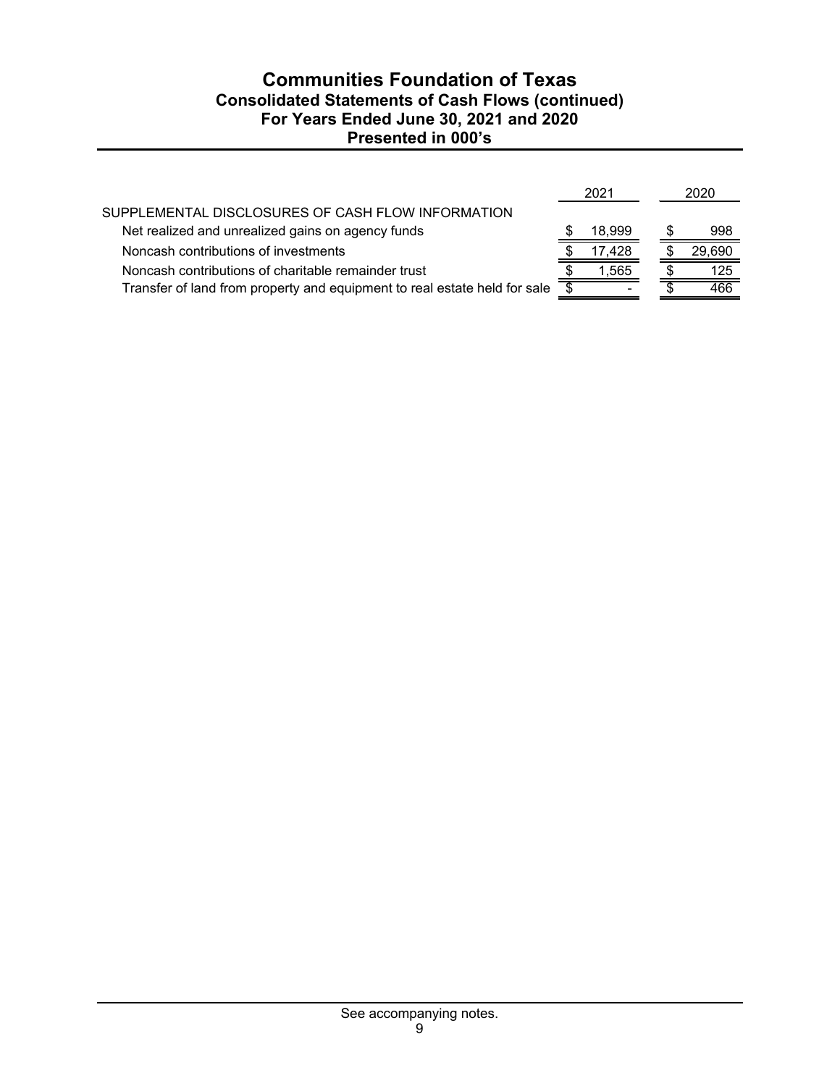# **Communities Foundation of Texas Consolidated Statements of Cash Flows (continued) For Years Ended June 30, 2021 and 2020 Presented in 000's**

|                                                                           | 2021   |  | 2020   |
|---------------------------------------------------------------------------|--------|--|--------|
| SUPPLEMENTAL DISCLOSURES OF CASH FLOW INFORMATION                         |        |  |        |
| Net realized and unrealized gains on agency funds                         | 18,999 |  | 998    |
| Noncash contributions of investments                                      | 17.428 |  | 29,690 |
| Noncash contributions of charitable remainder trust                       | 1.565  |  | 125    |
| Transfer of land from property and equipment to real estate held for sale |        |  | 466    |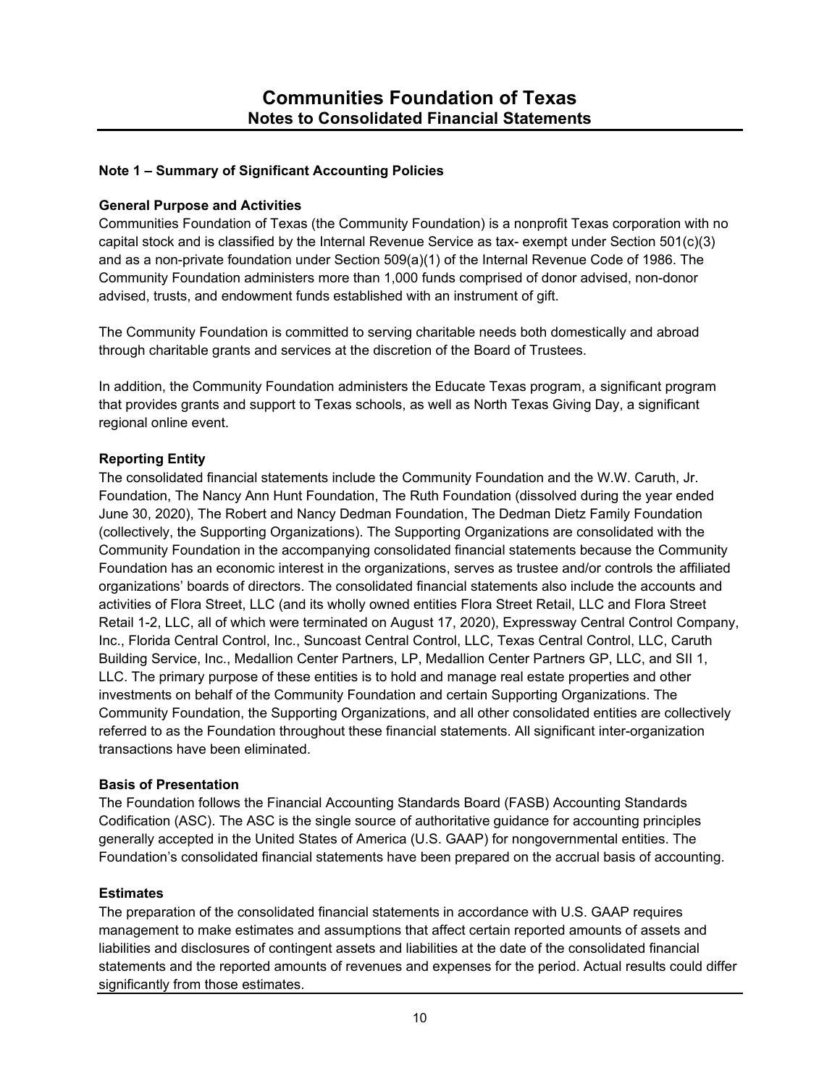## **Note 1 – Summary of Significant Accounting Policies**

#### **General Purpose and Activities**

Communities Foundation of Texas (the Community Foundation) is a nonprofit Texas corporation with no capital stock and is classified by the Internal Revenue Service as tax- exempt under Section 501(c)(3) and as a non-private foundation under Section 509(a)(1) of the Internal Revenue Code of 1986. The Community Foundation administers more than 1,000 funds comprised of donor advised, non-donor advised, trusts, and endowment funds established with an instrument of gift.

The Community Foundation is committed to serving charitable needs both domestically and abroad through charitable grants and services at the discretion of the Board of Trustees.

In addition, the Community Foundation administers the Educate Texas program, a significant program that provides grants and support to Texas schools, as well as North Texas Giving Day, a significant regional online event.

### **Reporting Entity**

The consolidated financial statements include the Community Foundation and the W.W. Caruth, Jr. Foundation, The Nancy Ann Hunt Foundation, The Ruth Foundation (dissolved during the year ended June 30, 2020), The Robert and Nancy Dedman Foundation, The Dedman Dietz Family Foundation (collectively, the Supporting Organizations). The Supporting Organizations are consolidated with the Community Foundation in the accompanying consolidated financial statements because the Community Foundation has an economic interest in the organizations, serves as trustee and/or controls the affiliated organizations' boards of directors. The consolidated financial statements also include the accounts and activities of Flora Street, LLC (and its wholly owned entities Flora Street Retail, LLC and Flora Street Retail 1-2, LLC, all of which were terminated on August 17, 2020), Expressway Central Control Company, Inc., Florida Central Control, Inc., Suncoast Central Control, LLC, Texas Central Control, LLC, Caruth Building Service, Inc., Medallion Center Partners, LP, Medallion Center Partners GP, LLC, and SII 1, LLC. The primary purpose of these entities is to hold and manage real estate properties and other investments on behalf of the Community Foundation and certain Supporting Organizations. The Community Foundation, the Supporting Organizations, and all other consolidated entities are collectively referred to as the Foundation throughout these financial statements. All significant inter-organization transactions have been eliminated.

#### **Basis of Presentation**

The Foundation follows the Financial Accounting Standards Board (FASB) Accounting Standards Codification (ASC). The ASC is the single source of authoritative guidance for accounting principles generally accepted in the United States of America (U.S. GAAP) for nongovernmental entities. The Foundation's consolidated financial statements have been prepared on the accrual basis of accounting.

## **Estimates**

The preparation of the consolidated financial statements in accordance with U.S. GAAP requires management to make estimates and assumptions that affect certain reported amounts of assets and liabilities and disclosures of contingent assets and liabilities at the date of the consolidated financial statements and the reported amounts of revenues and expenses for the period. Actual results could differ significantly from those estimates.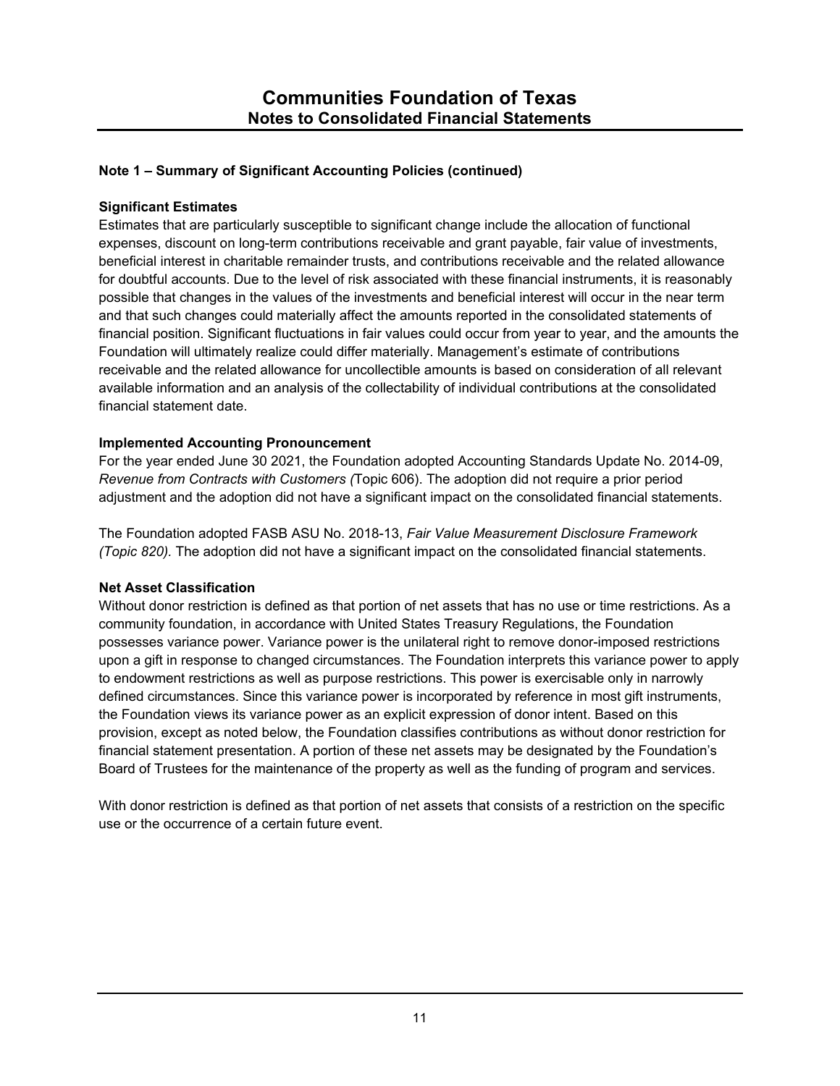## **Significant Estimates**

Estimates that are particularly susceptible to significant change include the allocation of functional expenses, discount on long-term contributions receivable and grant payable, fair value of investments, beneficial interest in charitable remainder trusts, and contributions receivable and the related allowance for doubtful accounts. Due to the level of risk associated with these financial instruments, it is reasonably possible that changes in the values of the investments and beneficial interest will occur in the near term and that such changes could materially affect the amounts reported in the consolidated statements of financial position. Significant fluctuations in fair values could occur from year to year, and the amounts the Foundation will ultimately realize could differ materially. Management's estimate of contributions receivable and the related allowance for uncollectible amounts is based on consideration of all relevant available information and an analysis of the collectability of individual contributions at the consolidated financial statement date.

## **Implemented Accounting Pronouncement**

For the year ended June 30 2021, the Foundation adopted Accounting Standards Update No. 2014-09, *Revenue from Contracts with Customers (*Topic 606). The adoption did not require a prior period adjustment and the adoption did not have a significant impact on the consolidated financial statements.

The Foundation adopted FASB ASU No. 2018-13, *Fair Value Measurement Disclosure Framework (Topic 820).* The adoption did not have a significant impact on the consolidated financial statements.

## **Net Asset Classification**

Without donor restriction is defined as that portion of net assets that has no use or time restrictions. As a community foundation, in accordance with United States Treasury Regulations, the Foundation possesses variance power. Variance power is the unilateral right to remove donor-imposed restrictions upon a gift in response to changed circumstances. The Foundation interprets this variance power to apply to endowment restrictions as well as purpose restrictions. This power is exercisable only in narrowly defined circumstances. Since this variance power is incorporated by reference in most gift instruments, the Foundation views its variance power as an explicit expression of donor intent. Based on this provision, except as noted below, the Foundation classifies contributions as without donor restriction for financial statement presentation. A portion of these net assets may be designated by the Foundation's Board of Trustees for the maintenance of the property as well as the funding of program and services.

With donor restriction is defined as that portion of net assets that consists of a restriction on the specific use or the occurrence of a certain future event.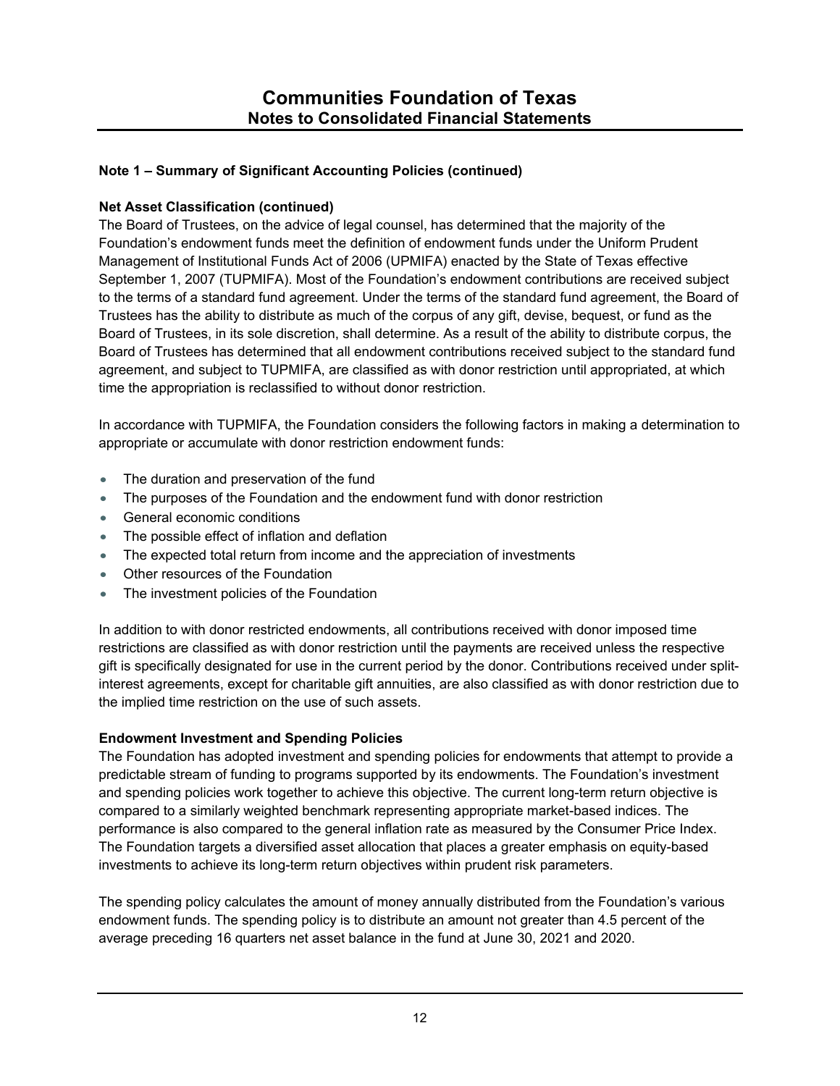## **Net Asset Classification (continued)**

The Board of Trustees, on the advice of legal counsel, has determined that the majority of the Foundation's endowment funds meet the definition of endowment funds under the Uniform Prudent Management of Institutional Funds Act of 2006 (UPMIFA) enacted by the State of Texas effective September 1, 2007 (TUPMIFA). Most of the Foundation's endowment contributions are received subject to the terms of a standard fund agreement. Under the terms of the standard fund agreement, the Board of Trustees has the ability to distribute as much of the corpus of any gift, devise, bequest, or fund as the Board of Trustees, in its sole discretion, shall determine. As a result of the ability to distribute corpus, the Board of Trustees has determined that all endowment contributions received subject to the standard fund agreement, and subject to TUPMIFA, are classified as with donor restriction until appropriated, at which time the appropriation is reclassified to without donor restriction.

In accordance with TUPMIFA, the Foundation considers the following factors in making a determination to appropriate or accumulate with donor restriction endowment funds:

- The duration and preservation of the fund
- The purposes of the Foundation and the endowment fund with donor restriction
- General economic conditions
- The possible effect of inflation and deflation
- The expected total return from income and the appreciation of investments
- Other resources of the Foundation
- The investment policies of the Foundation

In addition to with donor restricted endowments, all contributions received with donor imposed time restrictions are classified as with donor restriction until the payments are received unless the respective gift is specifically designated for use in the current period by the donor. Contributions received under splitinterest agreements, except for charitable gift annuities, are also classified as with donor restriction due to the implied time restriction on the use of such assets.

## **Endowment Investment and Spending Policies**

The Foundation has adopted investment and spending policies for endowments that attempt to provide a predictable stream of funding to programs supported by its endowments. The Foundation's investment and spending policies work together to achieve this objective. The current long-term return objective is compared to a similarly weighted benchmark representing appropriate market-based indices. The performance is also compared to the general inflation rate as measured by the Consumer Price Index. The Foundation targets a diversified asset allocation that places a greater emphasis on equity-based investments to achieve its long-term return objectives within prudent risk parameters.

The spending policy calculates the amount of money annually distributed from the Foundation's various endowment funds. The spending policy is to distribute an amount not greater than 4.5 percent of the average preceding 16 quarters net asset balance in the fund at June 30, 2021 and 2020.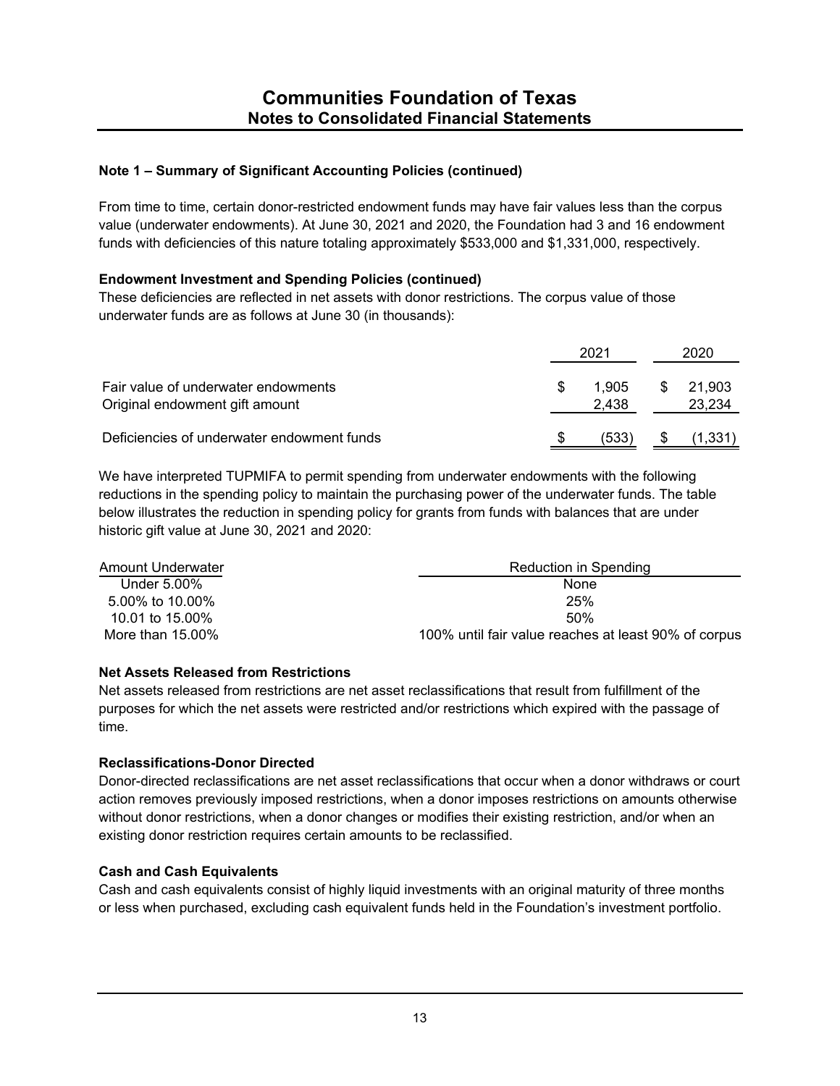From time to time, certain donor-restricted endowment funds may have fair values less than the corpus value (underwater endowments). At June 30, 2021 and 2020, the Foundation had 3 and 16 endowment funds with deficiencies of this nature totaling approximately \$533,000 and \$1,331,000, respectively.

## **Endowment Investment and Spending Policies (continued)**

These deficiencies are reflected in net assets with donor restrictions. The corpus value of those underwater funds are as follows at June 30 (in thousands):

|                                                                       |   | 202'           |   | 2020             |  |  |
|-----------------------------------------------------------------------|---|----------------|---|------------------|--|--|
| Fair value of underwater endowments<br>Original endowment gift amount | S | 1.905<br>2.438 | S | 21.903<br>23,234 |  |  |
| Deficiencies of underwater endowment funds                            |   | (533)          |   | 1.331            |  |  |

We have interpreted TUPMIFA to permit spending from underwater endowments with the following reductions in the spending policy to maintain the purchasing power of the underwater funds. The table below illustrates the reduction in spending policy for grants from funds with balances that are under historic gift value at June 30, 2021 and 2020:

| Amount Underwater | Reduction in Spending                                |
|-------------------|------------------------------------------------------|
| Under 5.00%       | None                                                 |
| 5.00% to 10.00%   | 25%                                                  |
| 10.01 to 15.00%   | 50%                                                  |
| More than 15.00%  | 100% until fair value reaches at least 90% of corpus |

## **Net Assets Released from Restrictions**

Net assets released from restrictions are net asset reclassifications that result from fulfillment of the purposes for which the net assets were restricted and/or restrictions which expired with the passage of time.

## **Reclassifications-Donor Directed**

Donor-directed reclassifications are net asset reclassifications that occur when a donor withdraws or court action removes previously imposed restrictions, when a donor imposes restrictions on amounts otherwise without donor restrictions, when a donor changes or modifies their existing restriction, and/or when an existing donor restriction requires certain amounts to be reclassified.

## **Cash and Cash Equivalents**

Cash and cash equivalents consist of highly liquid investments with an original maturity of three months or less when purchased, excluding cash equivalent funds held in the Foundation's investment portfolio.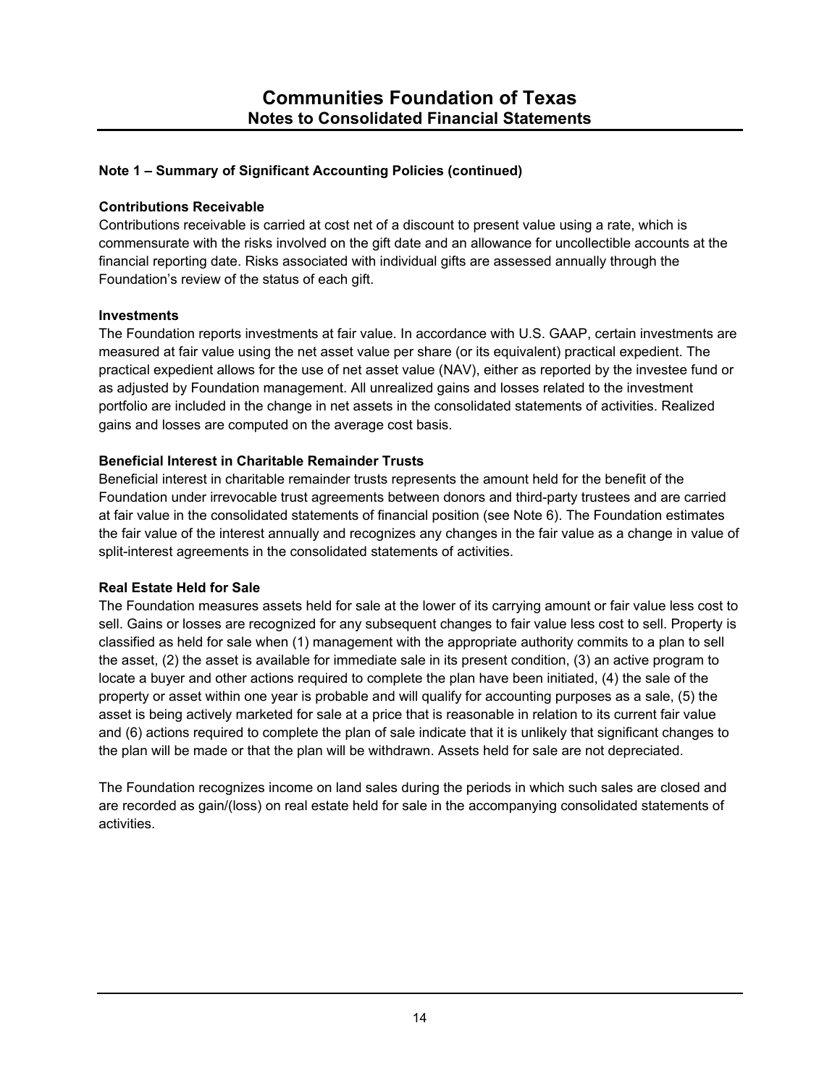#### **Contributions Receivable**

Contributions receivable is carried at cost net of a discount to present value using a rate, which is commensurate with the risks involved on the gift date and an allowance for uncollectible accounts at the financial reporting date. Risks associated with individual gifts are assessed annually through the Foundation's review of the status of each gift.

#### **Investments**

The Foundation reports investments at fair value. In accordance with U.S. GAAP, certain investments are measured at fair value using the net asset value per share (or its equivalent) practical expedient. The practical expedient allows for the use of net asset value (NAV), either as reported by the investee fund or as adjusted by Foundation management. All unrealized gains and losses related to the investment portfolio are included in the change in net assets in the consolidated statements of activities. Realized gains and losses are computed on the average cost basis.

## **Beneficial Interest in Charitable Remainder Trusts**

Beneficial interest in charitable remainder trusts represents the amount held for the benefit of the Foundation under irrevocable trust agreements between donors and third-party trustees and are carried at fair value in the consolidated statements of financial position (see Note 6). The Foundation estimates the fair value of the interest annually and recognizes any changes in the fair value as a change in value of split-interest agreements in the consolidated statements of activities.

## **Real Estate Held for Sale**

The Foundation measures assets held for sale at the lower of its carrying amount or fair value less cost to sell. Gains or losses are recognized for any subsequent changes to fair value less cost to sell. Property is classified as held for sale when (1) management with the appropriate authority commits to a plan to sell the asset, (2) the asset is available for immediate sale in its present condition, (3) an active program to locate a buyer and other actions required to complete the plan have been initiated, (4) the sale of the property or asset within one year is probable and will qualify for accounting purposes as a sale, (5) the asset is being actively marketed for sale at a price that is reasonable in relation to its current fair value and (6) actions required to complete the plan of sale indicate that it is unlikely that significant changes to the plan will be made or that the plan will be withdrawn. Assets held for sale are not depreciated.

The Foundation recognizes income on land sales during the periods in which such sales are closed and are recorded as gain/(loss) on real estate held for sale in the accompanying consolidated statements of activities.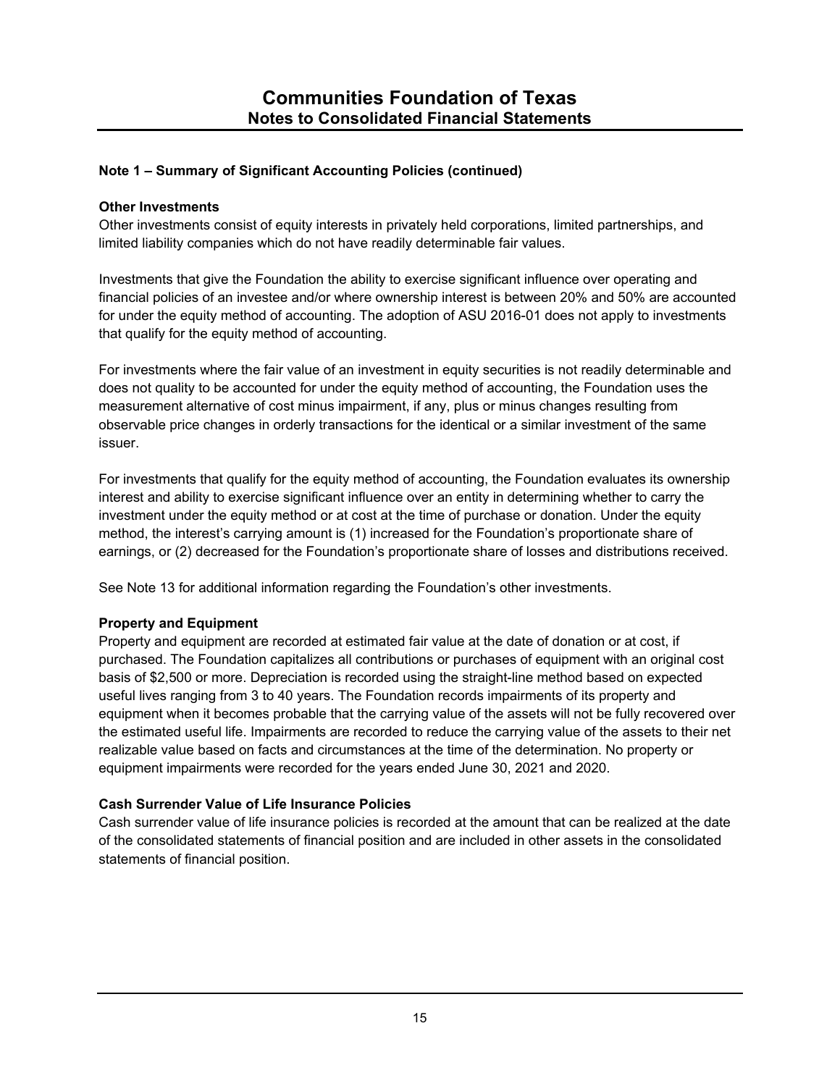### **Other Investments**

Other investments consist of equity interests in privately held corporations, limited partnerships, and limited liability companies which do not have readily determinable fair values.

Investments that give the Foundation the ability to exercise significant influence over operating and financial policies of an investee and/or where ownership interest is between 20% and 50% are accounted for under the equity method of accounting. The adoption of ASU 2016-01 does not apply to investments that qualify for the equity method of accounting.

For investments where the fair value of an investment in equity securities is not readily determinable and does not quality to be accounted for under the equity method of accounting, the Foundation uses the measurement alternative of cost minus impairment, if any, plus or minus changes resulting from observable price changes in orderly transactions for the identical or a similar investment of the same issuer.

For investments that qualify for the equity method of accounting, the Foundation evaluates its ownership interest and ability to exercise significant influence over an entity in determining whether to carry the investment under the equity method or at cost at the time of purchase or donation. Under the equity method, the interest's carrying amount is (1) increased for the Foundation's proportionate share of earnings, or (2) decreased for the Foundation's proportionate share of losses and distributions received.

See Note 13 for additional information regarding the Foundation's other investments.

## **Property and Equipment**

Property and equipment are recorded at estimated fair value at the date of donation or at cost, if purchased. The Foundation capitalizes all contributions or purchases of equipment with an original cost basis of \$2,500 or more. Depreciation is recorded using the straight-line method based on expected useful lives ranging from 3 to 40 years. The Foundation records impairments of its property and equipment when it becomes probable that the carrying value of the assets will not be fully recovered over the estimated useful life. Impairments are recorded to reduce the carrying value of the assets to their net realizable value based on facts and circumstances at the time of the determination. No property or equipment impairments were recorded for the years ended June 30, 2021 and 2020.

## **Cash Surrender Value of Life Insurance Policies**

Cash surrender value of life insurance policies is recorded at the amount that can be realized at the date of the consolidated statements of financial position and are included in other assets in the consolidated statements of financial position.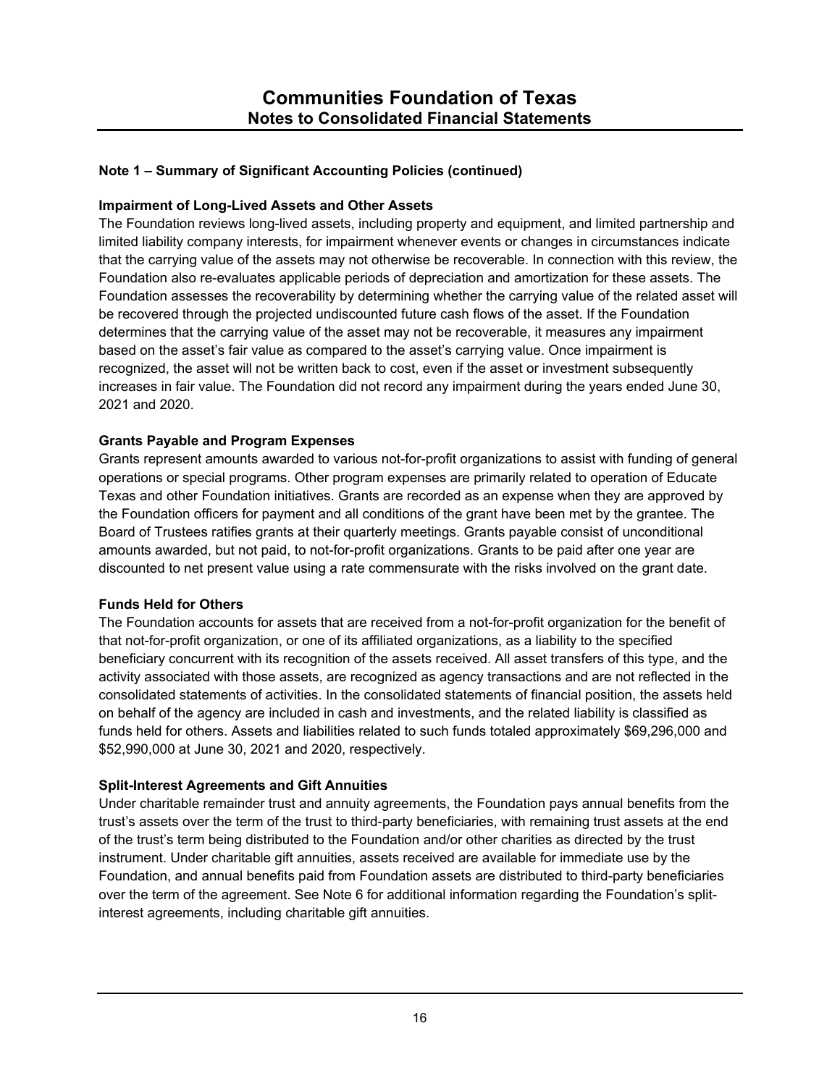## **Impairment of Long-Lived Assets and Other Assets**

The Foundation reviews long-lived assets, including property and equipment, and limited partnership and limited liability company interests, for impairment whenever events or changes in circumstances indicate that the carrying value of the assets may not otherwise be recoverable. In connection with this review, the Foundation also re-evaluates applicable periods of depreciation and amortization for these assets. The Foundation assesses the recoverability by determining whether the carrying value of the related asset will be recovered through the projected undiscounted future cash flows of the asset. If the Foundation determines that the carrying value of the asset may not be recoverable, it measures any impairment based on the asset's fair value as compared to the asset's carrying value. Once impairment is recognized, the asset will not be written back to cost, even if the asset or investment subsequently increases in fair value. The Foundation did not record any impairment during the years ended June 30, 2021 and 2020.

## **Grants Payable and Program Expenses**

Grants represent amounts awarded to various not-for-profit organizations to assist with funding of general operations or special programs. Other program expenses are primarily related to operation of Educate Texas and other Foundation initiatives. Grants are recorded as an expense when they are approved by the Foundation officers for payment and all conditions of the grant have been met by the grantee. The Board of Trustees ratifies grants at their quarterly meetings. Grants payable consist of unconditional amounts awarded, but not paid, to not-for-profit organizations. Grants to be paid after one year are discounted to net present value using a rate commensurate with the risks involved on the grant date.

## **Funds Held for Others**

The Foundation accounts for assets that are received from a not-for-profit organization for the benefit of that not-for-profit organization, or one of its affiliated organizations, as a liability to the specified beneficiary concurrent with its recognition of the assets received. All asset transfers of this type, and the activity associated with those assets, are recognized as agency transactions and are not reflected in the consolidated statements of activities. In the consolidated statements of financial position, the assets held on behalf of the agency are included in cash and investments, and the related liability is classified as funds held for others. Assets and liabilities related to such funds totaled approximately \$69,296,000 and \$52,990,000 at June 30, 2021 and 2020, respectively.

## **Split-Interest Agreements and Gift Annuities**

Under charitable remainder trust and annuity agreements, the Foundation pays annual benefits from the trust's assets over the term of the trust to third-party beneficiaries, with remaining trust assets at the end of the trust's term being distributed to the Foundation and/or other charities as directed by the trust instrument. Under charitable gift annuities, assets received are available for immediate use by the Foundation, and annual benefits paid from Foundation assets are distributed to third-party beneficiaries over the term of the agreement. See Note 6 for additional information regarding the Foundation's splitinterest agreements, including charitable gift annuities.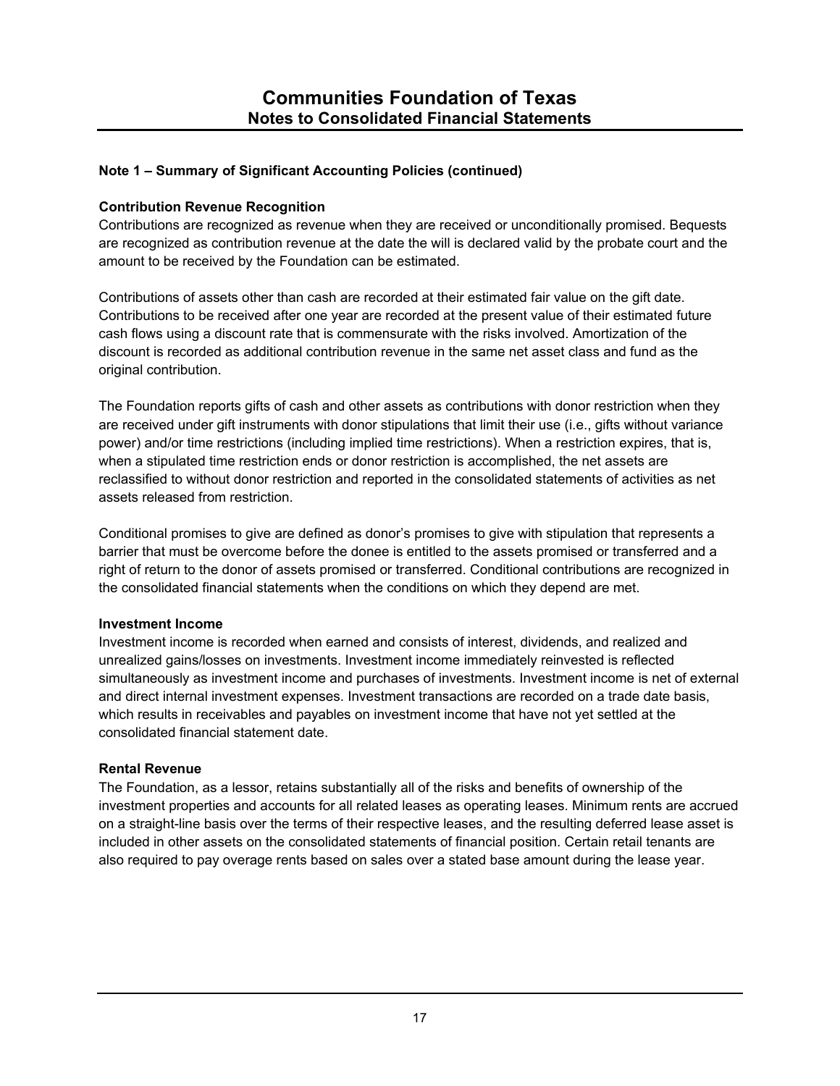#### **Contribution Revenue Recognition**

Contributions are recognized as revenue when they are received or unconditionally promised. Bequests are recognized as contribution revenue at the date the will is declared valid by the probate court and the amount to be received by the Foundation can be estimated.

Contributions of assets other than cash are recorded at their estimated fair value on the gift date. Contributions to be received after one year are recorded at the present value of their estimated future cash flows using a discount rate that is commensurate with the risks involved. Amortization of the discount is recorded as additional contribution revenue in the same net asset class and fund as the original contribution.

The Foundation reports gifts of cash and other assets as contributions with donor restriction when they are received under gift instruments with donor stipulations that limit their use (i.e., gifts without variance power) and/or time restrictions (including implied time restrictions). When a restriction expires, that is, when a stipulated time restriction ends or donor restriction is accomplished, the net assets are reclassified to without donor restriction and reported in the consolidated statements of activities as net assets released from restriction.

Conditional promises to give are defined as donor's promises to give with stipulation that represents a barrier that must be overcome before the donee is entitled to the assets promised or transferred and a right of return to the donor of assets promised or transferred. Conditional contributions are recognized in the consolidated financial statements when the conditions on which they depend are met.

#### **Investment Income**

Investment income is recorded when earned and consists of interest, dividends, and realized and unrealized gains/losses on investments. Investment income immediately reinvested is reflected simultaneously as investment income and purchases of investments. Investment income is net of external and direct internal investment expenses. Investment transactions are recorded on a trade date basis, which results in receivables and payables on investment income that have not yet settled at the consolidated financial statement date.

#### **Rental Revenue**

The Foundation, as a lessor, retains substantially all of the risks and benefits of ownership of the investment properties and accounts for all related leases as operating leases. Minimum rents are accrued on a straight-line basis over the terms of their respective leases, and the resulting deferred lease asset is included in other assets on the consolidated statements of financial position. Certain retail tenants are also required to pay overage rents based on sales over a stated base amount during the lease year.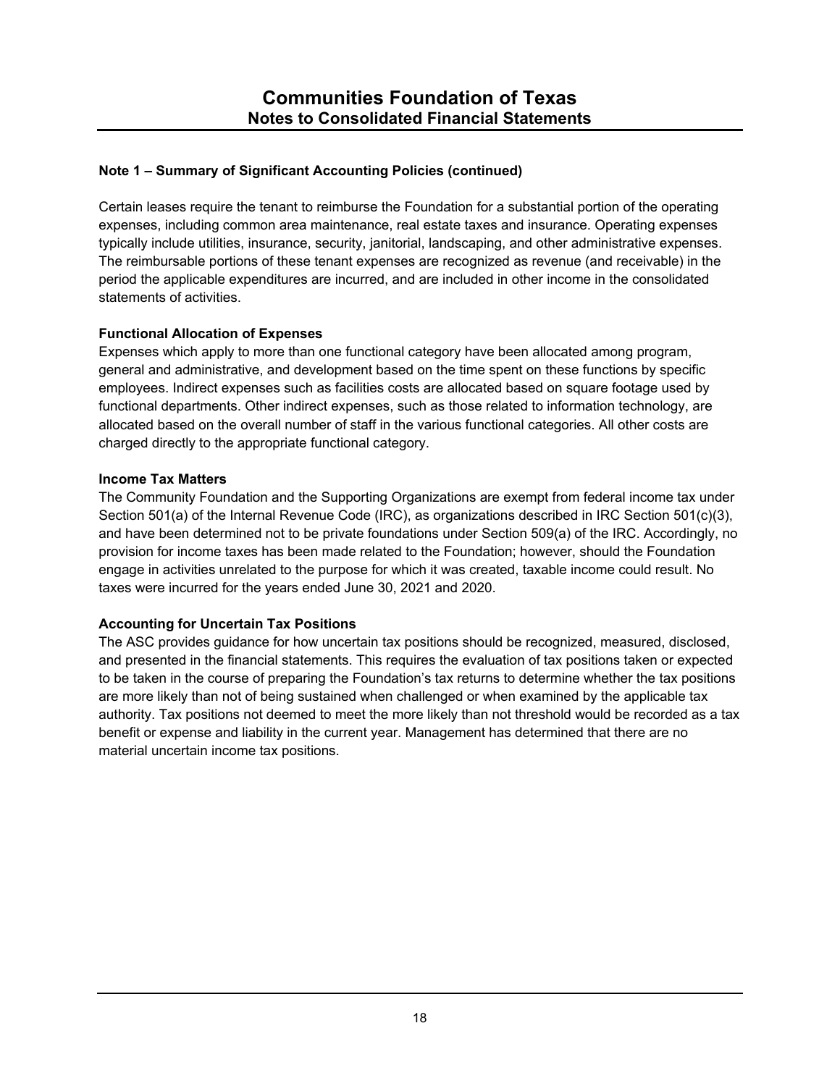Certain leases require the tenant to reimburse the Foundation for a substantial portion of the operating expenses, including common area maintenance, real estate taxes and insurance. Operating expenses typically include utilities, insurance, security, janitorial, landscaping, and other administrative expenses. The reimbursable portions of these tenant expenses are recognized as revenue (and receivable) in the period the applicable expenditures are incurred, and are included in other income in the consolidated statements of activities.

### **Functional Allocation of Expenses**

Expenses which apply to more than one functional category have been allocated among program, general and administrative, and development based on the time spent on these functions by specific employees. Indirect expenses such as facilities costs are allocated based on square footage used by functional departments. Other indirect expenses, such as those related to information technology, are allocated based on the overall number of staff in the various functional categories. All other costs are charged directly to the appropriate functional category.

### **Income Tax Matters**

The Community Foundation and the Supporting Organizations are exempt from federal income tax under Section 501(a) of the Internal Revenue Code (IRC), as organizations described in IRC Section 501(c)(3), and have been determined not to be private foundations under Section 509(a) of the IRC. Accordingly, no provision for income taxes has been made related to the Foundation; however, should the Foundation engage in activities unrelated to the purpose for which it was created, taxable income could result. No taxes were incurred for the years ended June 30, 2021 and 2020.

## **Accounting for Uncertain Tax Positions**

The ASC provides guidance for how uncertain tax positions should be recognized, measured, disclosed, and presented in the financial statements. This requires the evaluation of tax positions taken or expected to be taken in the course of preparing the Foundation's tax returns to determine whether the tax positions are more likely than not of being sustained when challenged or when examined by the applicable tax authority. Tax positions not deemed to meet the more likely than not threshold would be recorded as a tax benefit or expense and liability in the current year. Management has determined that there are no material uncertain income tax positions.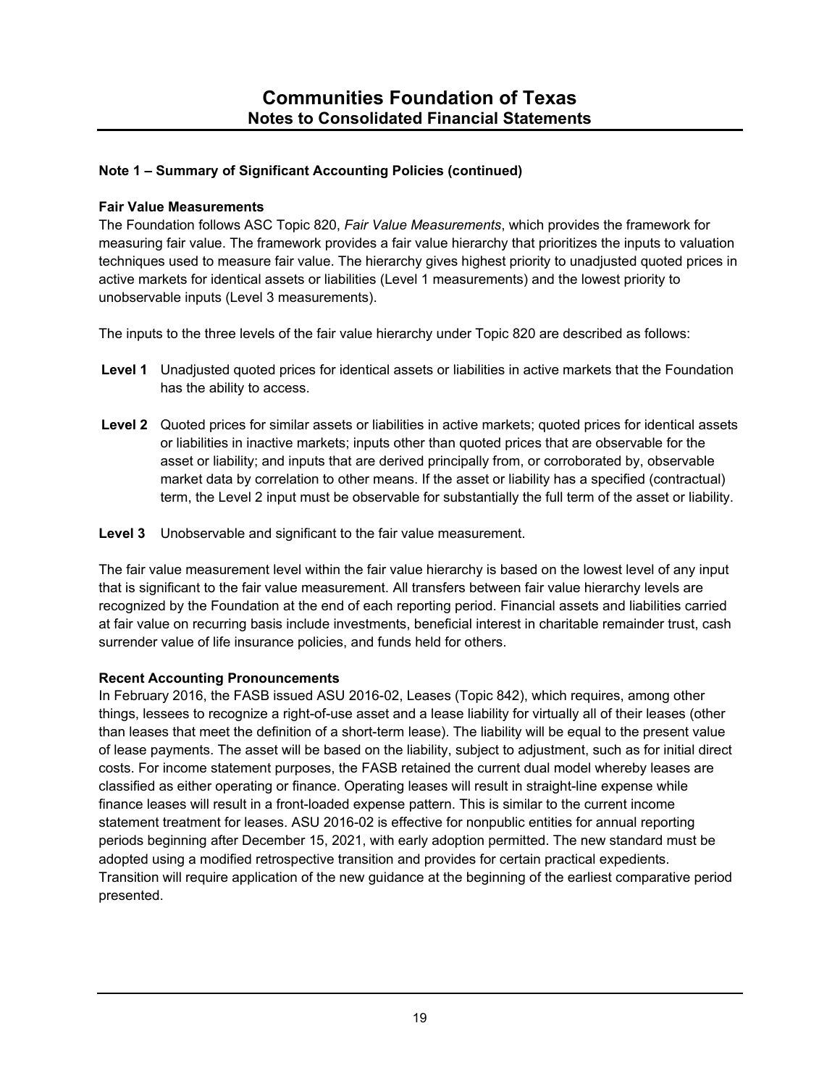## **Fair Value Measurements**

The Foundation follows ASC Topic 820, *Fair Value Measurements*, which provides the framework for measuring fair value. The framework provides a fair value hierarchy that prioritizes the inputs to valuation techniques used to measure fair value. The hierarchy gives highest priority to unadjusted quoted prices in active markets for identical assets or liabilities (Level 1 measurements) and the lowest priority to unobservable inputs (Level 3 measurements).

The inputs to the three levels of the fair value hierarchy under Topic 820 are described as follows:

- **Level 1** Unadjusted quoted prices for identical assets or liabilities in active markets that the Foundation has the ability to access.
- **Level 2** Quoted prices for similar assets or liabilities in active markets; quoted prices for identical assets or liabilities in inactive markets; inputs other than quoted prices that are observable for the asset or liability; and inputs that are derived principally from, or corroborated by, observable market data by correlation to other means. If the asset or liability has a specified (contractual) term, the Level 2 input must be observable for substantially the full term of the asset or liability.
- **Level 3** Unobservable and significant to the fair value measurement.

The fair value measurement level within the fair value hierarchy is based on the lowest level of any input that is significant to the fair value measurement. All transfers between fair value hierarchy levels are recognized by the Foundation at the end of each reporting period. Financial assets and liabilities carried at fair value on recurring basis include investments, beneficial interest in charitable remainder trust, cash surrender value of life insurance policies, and funds held for others.

## **Recent Accounting Pronouncements**

In February 2016, the FASB issued ASU 2016-02, Leases (Topic 842), which requires, among other things, lessees to recognize a right-of-use asset and a lease liability for virtually all of their leases (other than leases that meet the definition of a short-term lease). The liability will be equal to the present value of lease payments. The asset will be based on the liability, subject to adjustment, such as for initial direct costs. For income statement purposes, the FASB retained the current dual model whereby leases are classified as either operating or finance. Operating leases will result in straight-line expense while finance leases will result in a front-loaded expense pattern. This is similar to the current income statement treatment for leases. ASU 2016-02 is effective for nonpublic entities for annual reporting periods beginning after December 15, 2021, with early adoption permitted. The new standard must be adopted using a modified retrospective transition and provides for certain practical expedients. Transition will require application of the new guidance at the beginning of the earliest comparative period presented.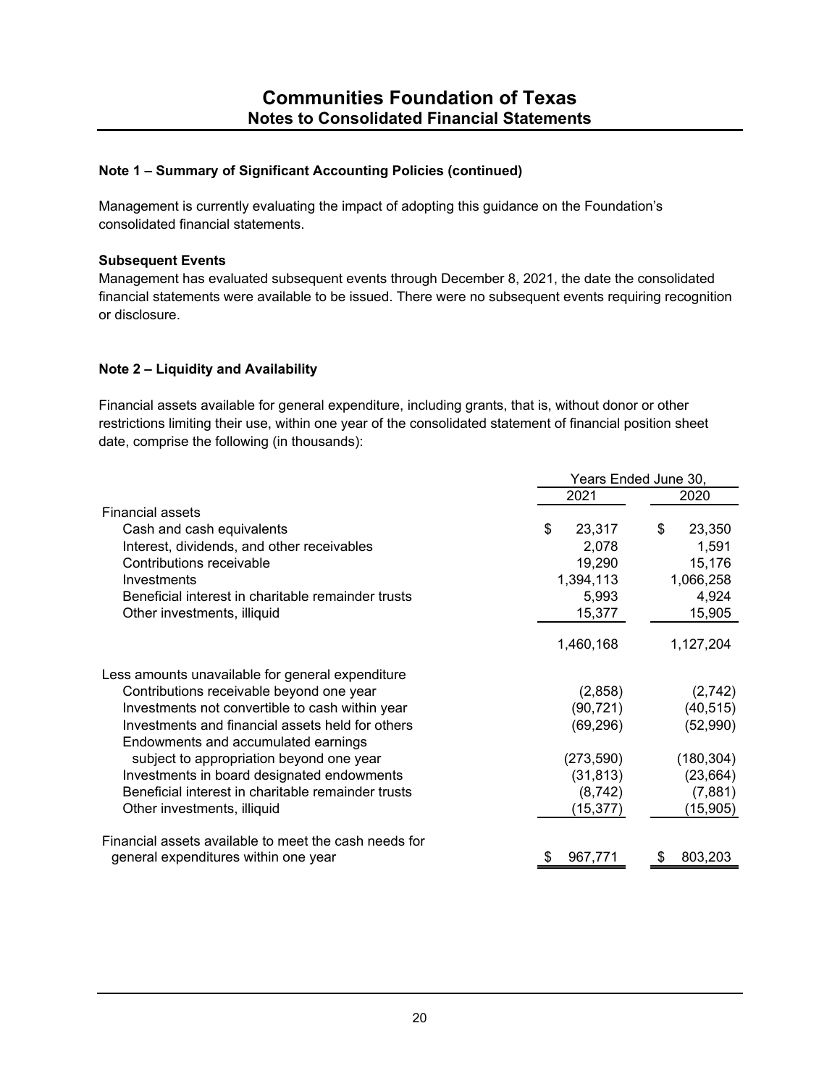Management is currently evaluating the impact of adopting this guidance on the Foundation's consolidated financial statements.

#### **Subsequent Events**

Management has evaluated subsequent events through December 8, 2021, the date the consolidated financial statements were available to be issued. There were no subsequent events requiring recognition or disclosure.

### **Note 2 – Liquidity and Availability**

Financial assets available for general expenditure, including grants, that is, without donor or other restrictions limiting their use, within one year of the consolidated statement of financial position sheet date, comprise the following (in thousands):

|                                                                                         | Years Ended June 30, |              |  |  |
|-----------------------------------------------------------------------------------------|----------------------|--------------|--|--|
|                                                                                         | 2021                 | 2020         |  |  |
| <b>Financial assets</b>                                                                 |                      |              |  |  |
| Cash and cash equivalents                                                               | \$<br>23,317         | \$<br>23,350 |  |  |
| Interest, dividends, and other receivables                                              | 2,078                | 1,591        |  |  |
| Contributions receivable                                                                | 19,290               | 15,176       |  |  |
| Investments                                                                             | 1,394,113            | 1,066,258    |  |  |
| Beneficial interest in charitable remainder trusts                                      | 5,993                | 4,924        |  |  |
| Other investments, illiquid                                                             | 15,377               | 15,905       |  |  |
|                                                                                         | 1,460,168            | 1,127,204    |  |  |
| Less amounts unavailable for general expenditure                                        |                      |              |  |  |
| Contributions receivable beyond one year                                                | (2,858)              | (2,742)      |  |  |
| Investments not convertible to cash within year                                         | (90, 721)            | (40, 515)    |  |  |
| Investments and financial assets held for others<br>Endowments and accumulated earnings | (69, 296)            | (52,990)     |  |  |
| subject to appropriation beyond one year                                                | (273, 590)           | (180, 304)   |  |  |
| Investments in board designated endowments                                              | (31, 813)            | (23, 664)    |  |  |
| Beneficial interest in charitable remainder trusts                                      | (8, 742)             | (7,881)      |  |  |
| Other investments, illiquid                                                             | (15, 377)            | (15, 905)    |  |  |
| Financial assets available to meet the cash needs for                                   |                      |              |  |  |
| general expenditures within one year                                                    | 967,771<br>\$        | 803,203      |  |  |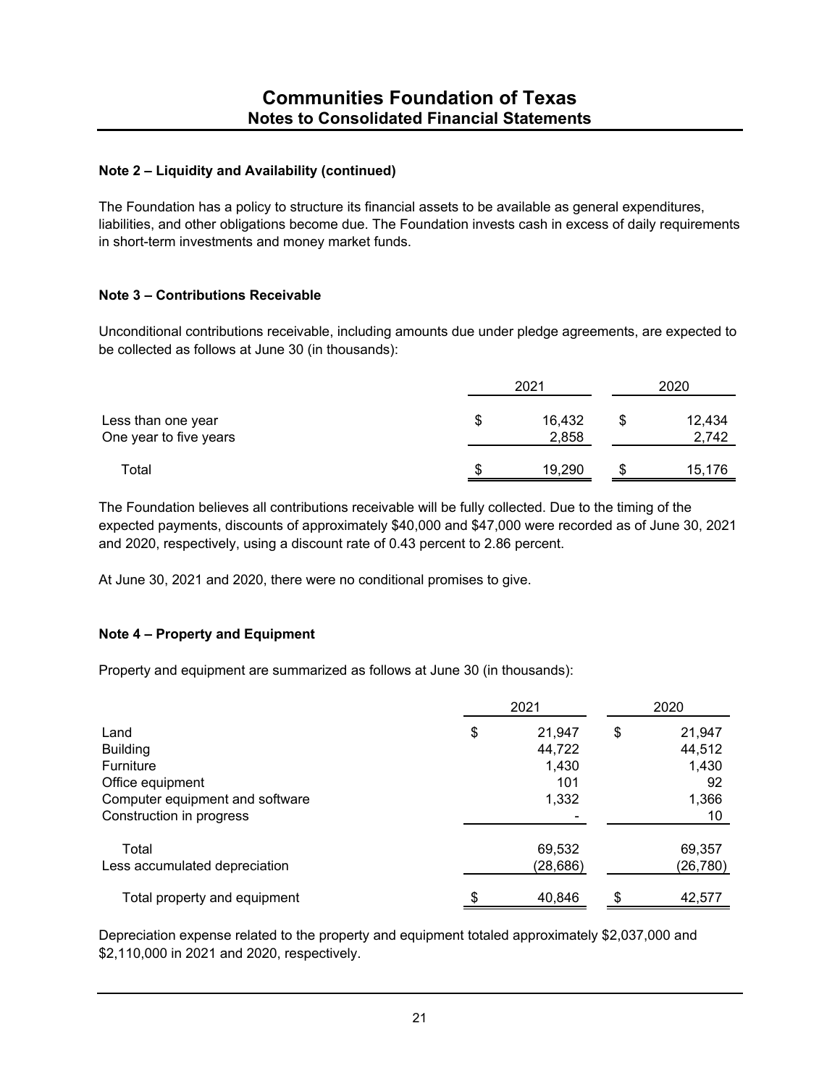## **Note 2 – Liquidity and Availability (continued)**

The Foundation has a policy to structure its financial assets to be available as general expenditures, liabilities, and other obligations become due. The Foundation invests cash in excess of daily requirements in short-term investments and money market funds.

### **Note 3 – Contributions Receivable**

Unconditional contributions receivable, including amounts due under pledge agreements, are expected to be collected as follows at June 30 (in thousands):

|                                              | 2021 |                 |  | 2020            |  |  |
|----------------------------------------------|------|-----------------|--|-----------------|--|--|
| Less than one year<br>One year to five years | S    | 16,432<br>2,858 |  | 12,434<br>2,742 |  |  |
| Total                                        | S    | 19,290          |  | 15,176          |  |  |

The Foundation believes all contributions receivable will be fully collected. Due to the timing of the expected payments, discounts of approximately \$40,000 and \$47,000 were recorded as of June 30, 2021 and 2020, respectively, using a discount rate of 0.43 percent to 2.86 percent.

At June 30, 2021 and 2020, there were no conditional promises to give.

#### **Note 4 – Property and Equipment**

Property and equipment are summarized as follows at June 30 (in thousands):

|                                 | 2021         |    |           |
|---------------------------------|--------------|----|-----------|
| Land                            | \$<br>21,947 | \$ | 21,947    |
| <b>Building</b>                 | 44,722       |    | 44,512    |
| <b>Furniture</b>                | 1,430        |    | 1,430     |
| Office equipment                | 101          |    | 92        |
| Computer equipment and software | 1,332        |    | 1,366     |
| Construction in progress        |              |    | 10        |
| Total                           | 69,532       |    | 69,357    |
| Less accumulated depreciation   | (28, 686)    |    | (26, 780) |
| Total property and equipment    | \$<br>40,846 | S  | 42,577    |

Depreciation expense related to the property and equipment totaled approximately \$2,037,000 and \$2,110,000 in 2021 and 2020, respectively.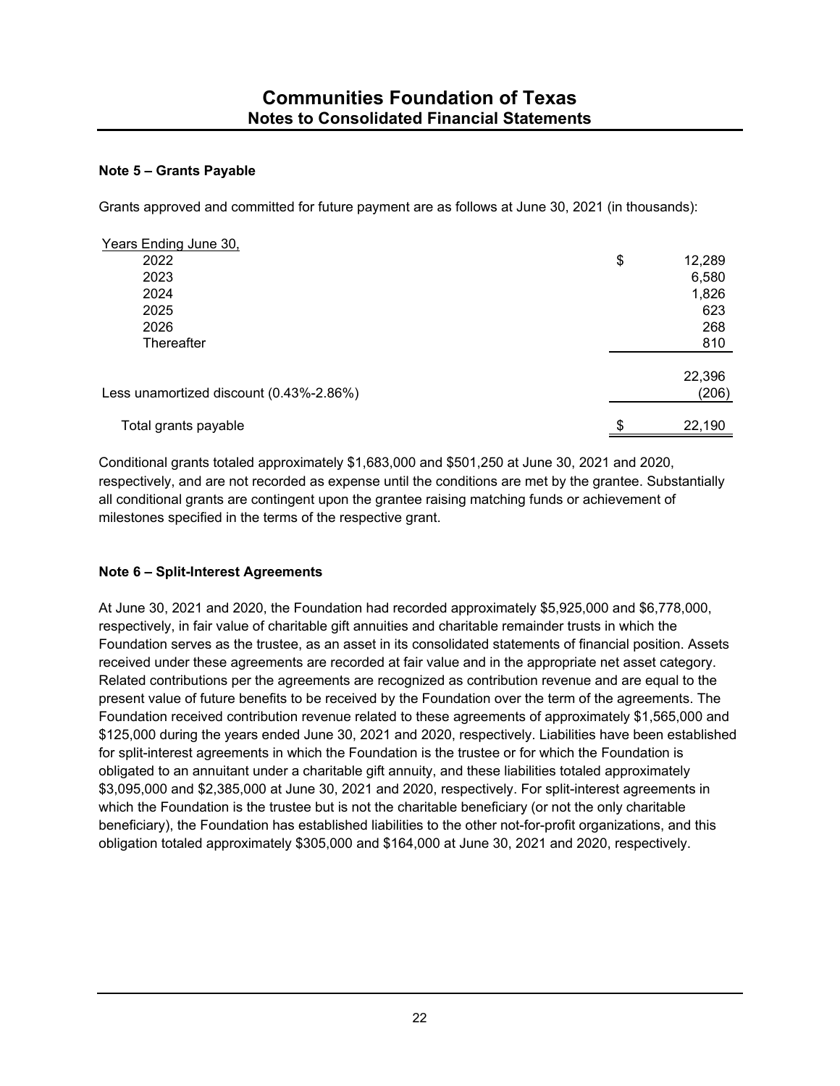## **Note 5 – Grants Payable**

Grants approved and committed for future payment are as follows at June 30, 2021 (in thousands):

| Years Ending June 30,                   |                 |
|-----------------------------------------|-----------------|
| 2022                                    | \$<br>12,289    |
| 2023                                    | 6,580           |
| 2024                                    | 1,826           |
| 2025                                    | 623             |
| 2026                                    | 268             |
| Thereafter                              | 810             |
| Less unamortized discount (0.43%-2.86%) | 22,396<br>(206) |
| Total grants payable                    | \$<br>22,190    |
|                                         |                 |

Conditional grants totaled approximately \$1,683,000 and \$501,250 at June 30, 2021 and 2020, respectively, and are not recorded as expense until the conditions are met by the grantee. Substantially all conditional grants are contingent upon the grantee raising matching funds or achievement of milestones specified in the terms of the respective grant.

## **Note 6 – Split-Interest Agreements**

At June 30, 2021 and 2020, the Foundation had recorded approximately \$5,925,000 and \$6,778,000, respectively, in fair value of charitable gift annuities and charitable remainder trusts in which the Foundation serves as the trustee, as an asset in its consolidated statements of financial position. Assets received under these agreements are recorded at fair value and in the appropriate net asset category. Related contributions per the agreements are recognized as contribution revenue and are equal to the present value of future benefits to be received by the Foundation over the term of the agreements. The Foundation received contribution revenue related to these agreements of approximately \$1,565,000 and \$125,000 during the years ended June 30, 2021 and 2020, respectively. Liabilities have been established for split-interest agreements in which the Foundation is the trustee or for which the Foundation is obligated to an annuitant under a charitable gift annuity, and these liabilities totaled approximately \$3,095,000 and \$2,385,000 at June 30, 2021 and 2020, respectively. For split-interest agreements in which the Foundation is the trustee but is not the charitable beneficiary (or not the only charitable beneficiary), the Foundation has established liabilities to the other not-for-profit organizations, and this obligation totaled approximately \$305,000 and \$164,000 at June 30, 2021 and 2020, respectively.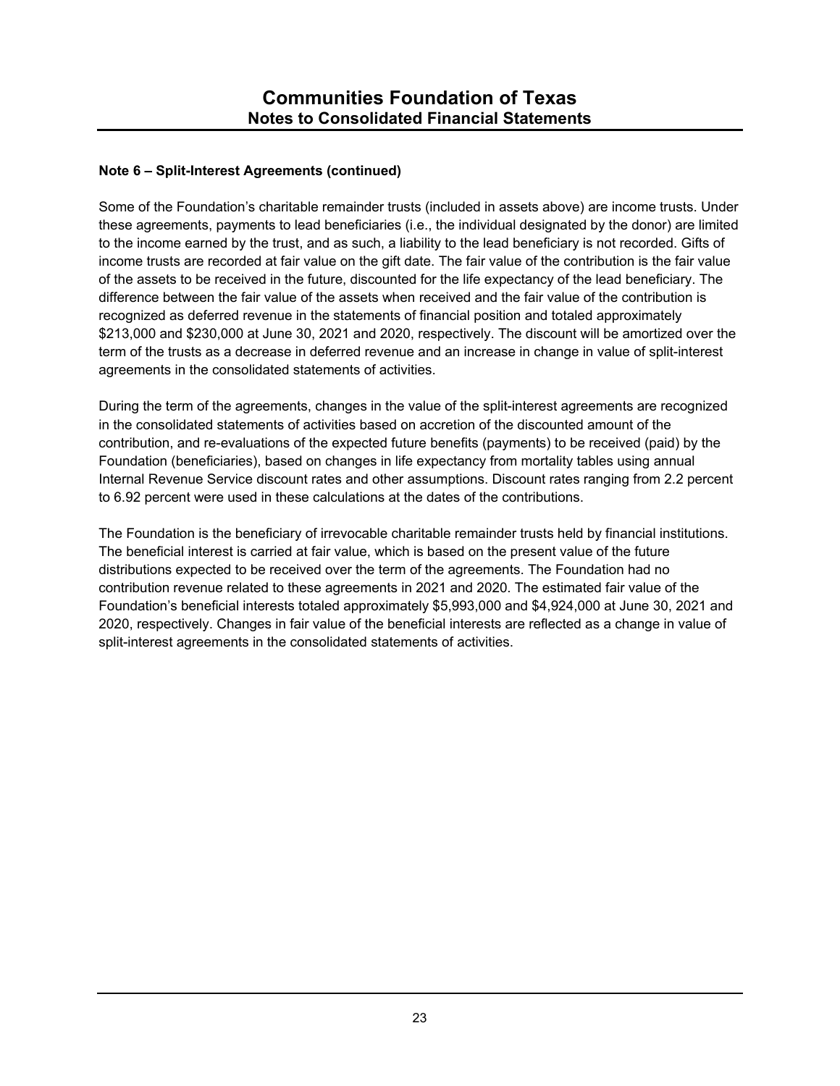## **Note 6 – Split-Interest Agreements (continued)**

Some of the Foundation's charitable remainder trusts (included in assets above) are income trusts. Under these agreements, payments to lead beneficiaries (i.e., the individual designated by the donor) are limited to the income earned by the trust, and as such, a liability to the lead beneficiary is not recorded. Gifts of income trusts are recorded at fair value on the gift date. The fair value of the contribution is the fair value of the assets to be received in the future, discounted for the life expectancy of the lead beneficiary. The difference between the fair value of the assets when received and the fair value of the contribution is recognized as deferred revenue in the statements of financial position and totaled approximately \$213,000 and \$230,000 at June 30, 2021 and 2020, respectively. The discount will be amortized over the term of the trusts as a decrease in deferred revenue and an increase in change in value of split-interest agreements in the consolidated statements of activities.

During the term of the agreements, changes in the value of the split-interest agreements are recognized in the consolidated statements of activities based on accretion of the discounted amount of the contribution, and re-evaluations of the expected future benefits (payments) to be received (paid) by the Foundation (beneficiaries), based on changes in life expectancy from mortality tables using annual Internal Revenue Service discount rates and other assumptions. Discount rates ranging from 2.2 percent to 6.92 percent were used in these calculations at the dates of the contributions.

The Foundation is the beneficiary of irrevocable charitable remainder trusts held by financial institutions. The beneficial interest is carried at fair value, which is based on the present value of the future distributions expected to be received over the term of the agreements. The Foundation had no contribution revenue related to these agreements in 2021 and 2020. The estimated fair value of the Foundation's beneficial interests totaled approximately \$5,993,000 and \$4,924,000 at June 30, 2021 and 2020, respectively. Changes in fair value of the beneficial interests are reflected as a change in value of split-interest agreements in the consolidated statements of activities.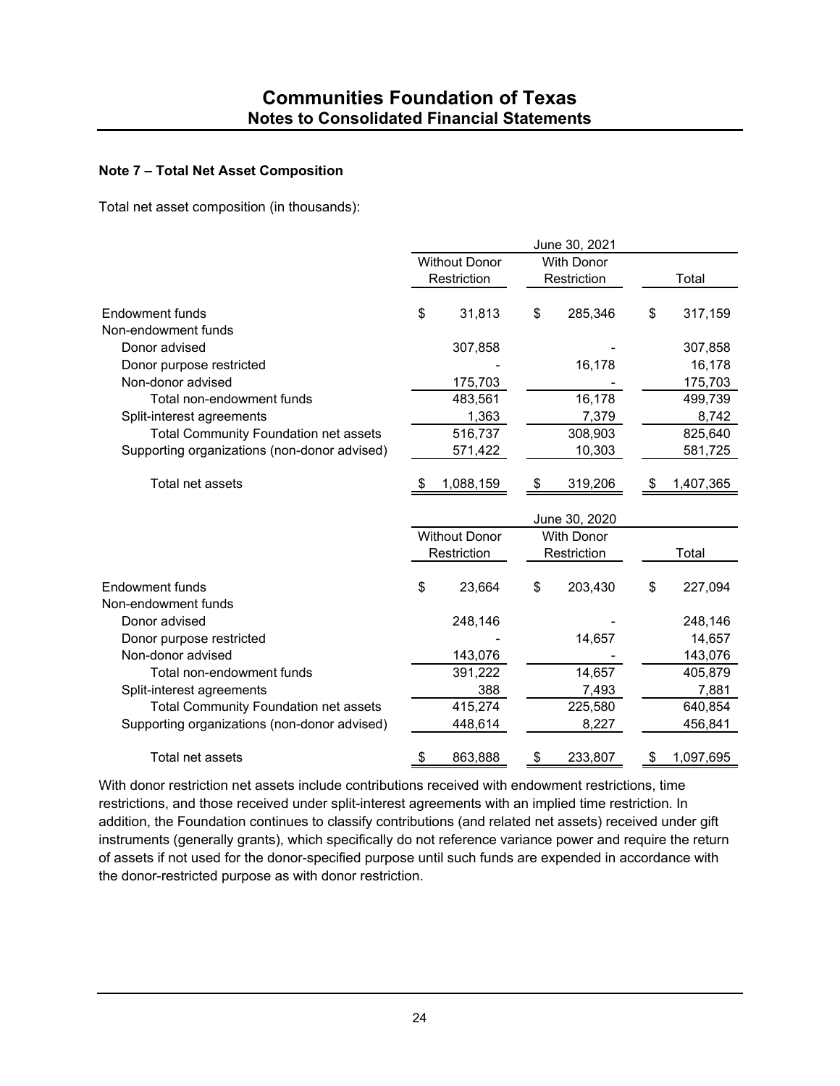### **Note 7 – Total Net Asset Composition**

Total net asset composition (in thousands):

|                                              |             |                      |             | June 30, 2021     |       |           |
|----------------------------------------------|-------------|----------------------|-------------|-------------------|-------|-----------|
|                                              |             | <b>Without Donor</b> |             | <b>With Donor</b> |       |           |
|                                              | Restriction |                      | Restriction |                   | Total |           |
| Endowment funds                              | \$          | 31,813               | \$          | 285,346           | \$    | 317,159   |
| Non-endowment funds                          |             |                      |             |                   |       |           |
| Donor advised                                |             | 307,858              |             |                   |       | 307,858   |
| Donor purpose restricted                     |             |                      |             | 16,178            |       | 16,178    |
| Non-donor advised                            |             | 175,703              |             |                   |       | 175,703   |
| Total non-endowment funds                    |             | 483,561              |             | 16,178            |       | 499,739   |
| Split-interest agreements                    |             | 1,363                |             | 7,379             |       | 8,742     |
| <b>Total Community Foundation net assets</b> |             | 516,737              |             | 308,903           |       | 825,640   |
| Supporting organizations (non-donor advised) |             | 571,422              |             | 10,303            |       | 581,725   |
| Total net assets                             |             | 1,088,159            | \$          | 319,206           | \$    | 1,407,365 |
|                                              |             |                      |             | June 30, 2020     |       |           |
|                                              |             | <b>Without Donor</b> |             | <b>With Donor</b> |       |           |
|                                              |             | Restriction          |             | Restriction       |       | Total     |
| Endowment funds                              | \$          | 23,664               | \$          | 203,430           | \$    | 227,094   |
| Non-endowment funds                          |             |                      |             |                   |       |           |
| Donor advised                                |             | 248,146              |             |                   |       | 248,146   |
| Donor purpose restricted                     |             |                      |             | 14,657            |       | 14,657    |
| Non-donor advised                            |             | 143,076              |             |                   |       | 143,076   |
| Total non-endowment funds                    |             | 391,222              |             | 14,657            |       | 405,879   |
| Split-interest agreements                    |             | 388                  |             | 7,493             |       | 7,881     |
| <b>Total Community Foundation net assets</b> |             | 415,274              |             | 225,580           |       | 640,854   |
| Supporting organizations (non-donor advised) |             | 448,614              |             | 8,227             |       | 456,841   |
| Total net assets                             | \$          | 863,888              | \$          | 233,807           | \$    | 1,097,695 |

With donor restriction net assets include contributions received with endowment restrictions, time restrictions, and those received under split-interest agreements with an implied time restriction. In addition, the Foundation continues to classify contributions (and related net assets) received under gift instruments (generally grants), which specifically do not reference variance power and require the return of assets if not used for the donor-specified purpose until such funds are expended in accordance with the donor-restricted purpose as with donor restriction.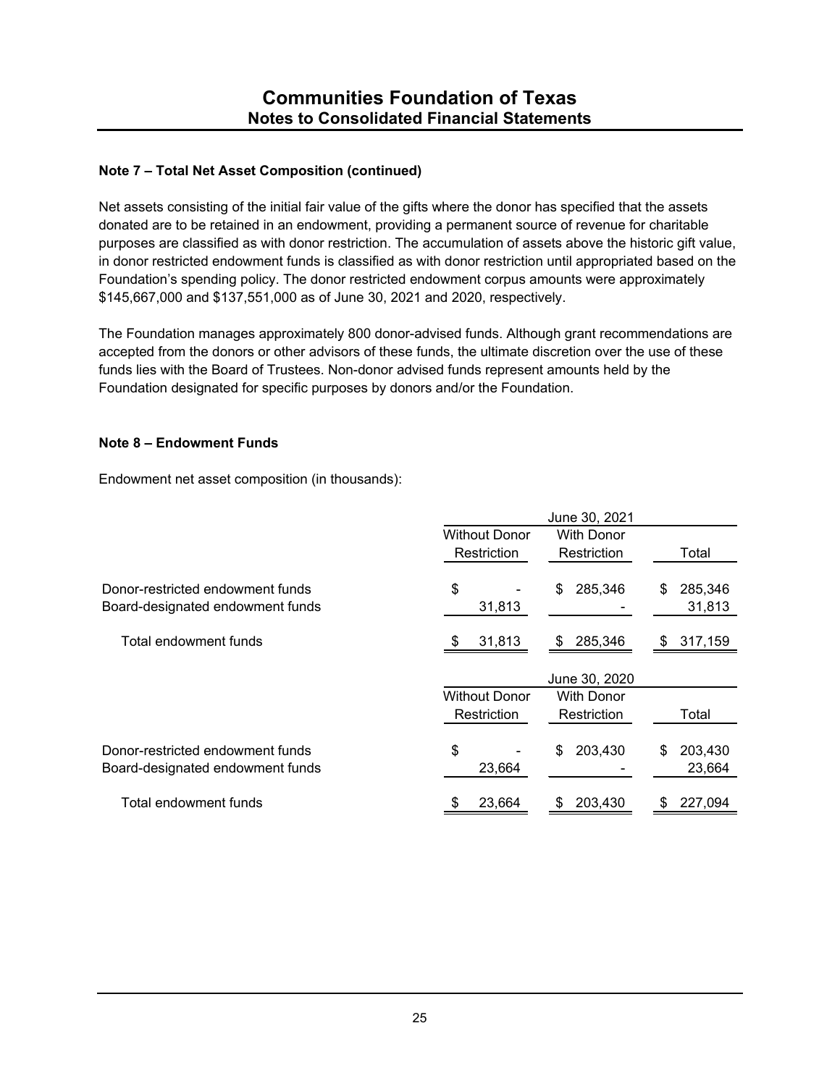## **Note 7 – Total Net Asset Composition (continued)**

Net assets consisting of the initial fair value of the gifts where the donor has specified that the assets donated are to be retained in an endowment, providing a permanent source of revenue for charitable purposes are classified as with donor restriction. The accumulation of assets above the historic gift value, in donor restricted endowment funds is classified as with donor restriction until appropriated based on the Foundation's spending policy. The donor restricted endowment corpus amounts were approximately \$145,667,000 and \$137,551,000 as of June 30, 2021 and 2020, respectively.

The Foundation manages approximately 800 donor-advised funds. Although grant recommendations are accepted from the donors or other advisors of these funds, the ultimate discretion over the use of these funds lies with the Board of Trustees. Non-donor advised funds represent amounts held by the Foundation designated for specific purposes by donors and/or the Foundation.

#### **Note 8 – Endowment Funds**

Endowment net asset composition (in thousands):

|                                  |                      | June 30, 2021     |               |  |  |  |
|----------------------------------|----------------------|-------------------|---------------|--|--|--|
|                                  | <b>Without Donor</b> | <b>With Donor</b> |               |  |  |  |
|                                  | Restriction          | Restriction       | Total         |  |  |  |
|                                  |                      |                   |               |  |  |  |
| Donor-restricted endowment funds | \$                   | 285,346<br>\$     | 285,346<br>S  |  |  |  |
| Board-designated endowment funds | 31,813               |                   | 31,813        |  |  |  |
|                                  |                      |                   |               |  |  |  |
| Total endowment funds            | 31,813               | 285,346<br>S.     | 317,159<br>S. |  |  |  |
|                                  |                      |                   |               |  |  |  |
|                                  |                      | June 30, 2020     |               |  |  |  |
|                                  | <b>Without Donor</b> | <b>With Donor</b> |               |  |  |  |
|                                  | Restriction          | Restriction       | Total         |  |  |  |
|                                  |                      |                   |               |  |  |  |
| Donor-restricted endowment funds | \$                   | 203,430<br>\$     | 203,430<br>S  |  |  |  |
| Board-designated endowment funds | 23,664               |                   | 23,664        |  |  |  |
|                                  |                      |                   |               |  |  |  |
| Total endowment funds            | 23,664<br>\$         | 203.430<br>S      | 227,094<br>S  |  |  |  |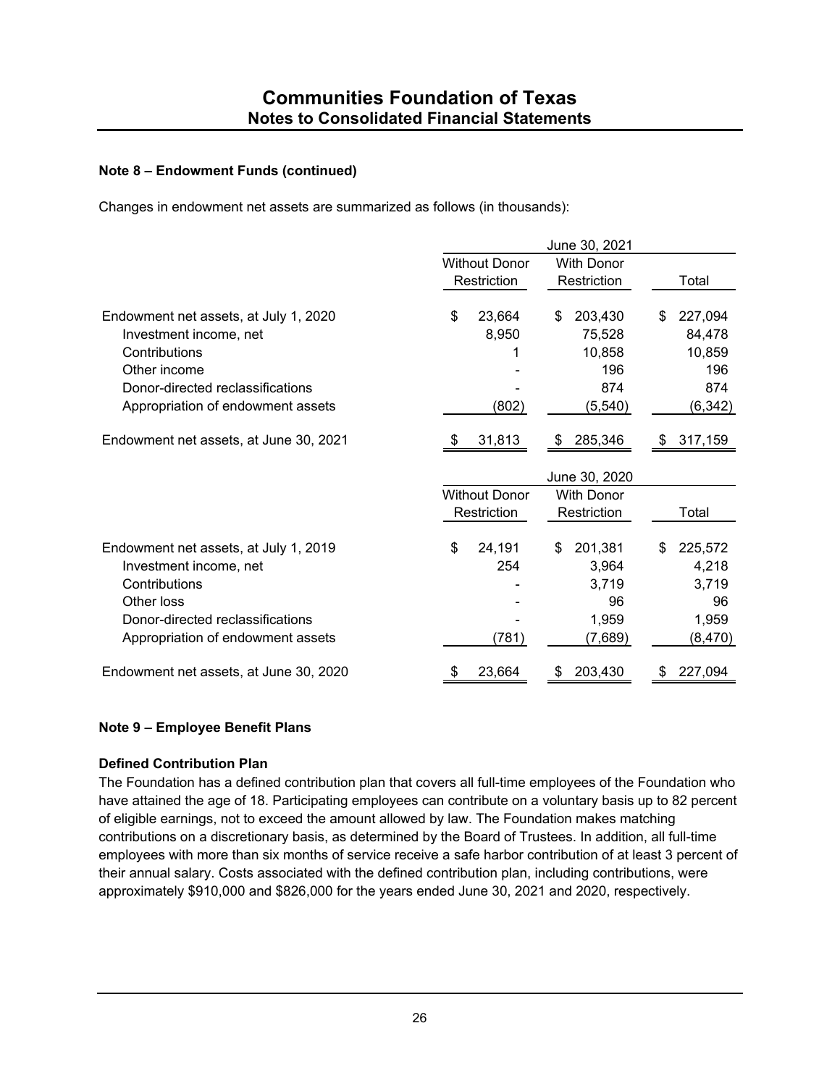### **Note 8 – Endowment Funds (continued)**

Changes in endowment net assets are summarized as follows (in thousands):

|                                        |                      |                      |    | June 30, 2021     |    |          |
|----------------------------------------|----------------------|----------------------|----|-------------------|----|----------|
|                                        | <b>Without Donor</b> |                      |    | <b>With Donor</b> |    |          |
|                                        |                      | Restriction          |    | Restriction       |    | Total    |
| Endowment net assets, at July 1, 2020  | \$                   | 23,664               | \$ | 203,430           | \$ | 227,094  |
| Investment income, net                 |                      | 8,950                |    | 75,528            |    | 84,478   |
| Contributions                          |                      |                      |    | 10,858            |    | 10,859   |
| Other income                           |                      |                      |    | 196               |    | 196      |
| Donor-directed reclassifications       |                      |                      |    | 874               |    | 874      |
| Appropriation of endowment assets      |                      | (802)                |    | (5, 540)          |    | (6, 342) |
| Endowment net assets, at June 30, 2021 |                      | 31,813               | S  | 285,346           | S  | 317,159  |
|                                        |                      |                      |    | June 30, 2020     |    |          |
|                                        |                      | <b>Without Donor</b> |    | <b>With Donor</b> |    |          |
|                                        |                      | Restriction          |    | Restriction       |    | Total    |
| Endowment net assets, at July 1, 2019  | \$                   | 24,191               | \$ | 201,381           | \$ | 225,572  |
| Investment income, net                 |                      | 254                  |    | 3,964             |    | 4,218    |
| Contributions                          |                      |                      |    | 3,719             |    | 3,719    |
| Other loss                             |                      |                      |    | 96                |    | 96       |
| Donor-directed reclassifications       |                      |                      |    | 1,959             |    | 1,959    |
| Appropriation of endowment assets      |                      | (781)                |    | (7,689)           |    | (8, 470) |
| Endowment net assets, at June 30, 2020 |                      | 23,664               |    | 203,430           | S  | 227,094  |

## **Note 9 – Employee Benefit Plans**

#### **Defined Contribution Plan**

The Foundation has a defined contribution plan that covers all full-time employees of the Foundation who have attained the age of 18. Participating employees can contribute on a voluntary basis up to 82 percent of eligible earnings, not to exceed the amount allowed by law. The Foundation makes matching contributions on a discretionary basis, as determined by the Board of Trustees. In addition, all full-time employees with more than six months of service receive a safe harbor contribution of at least 3 percent of their annual salary. Costs associated with the defined contribution plan, including contributions, were approximately \$910,000 and \$826,000 for the years ended June 30, 2021 and 2020, respectively.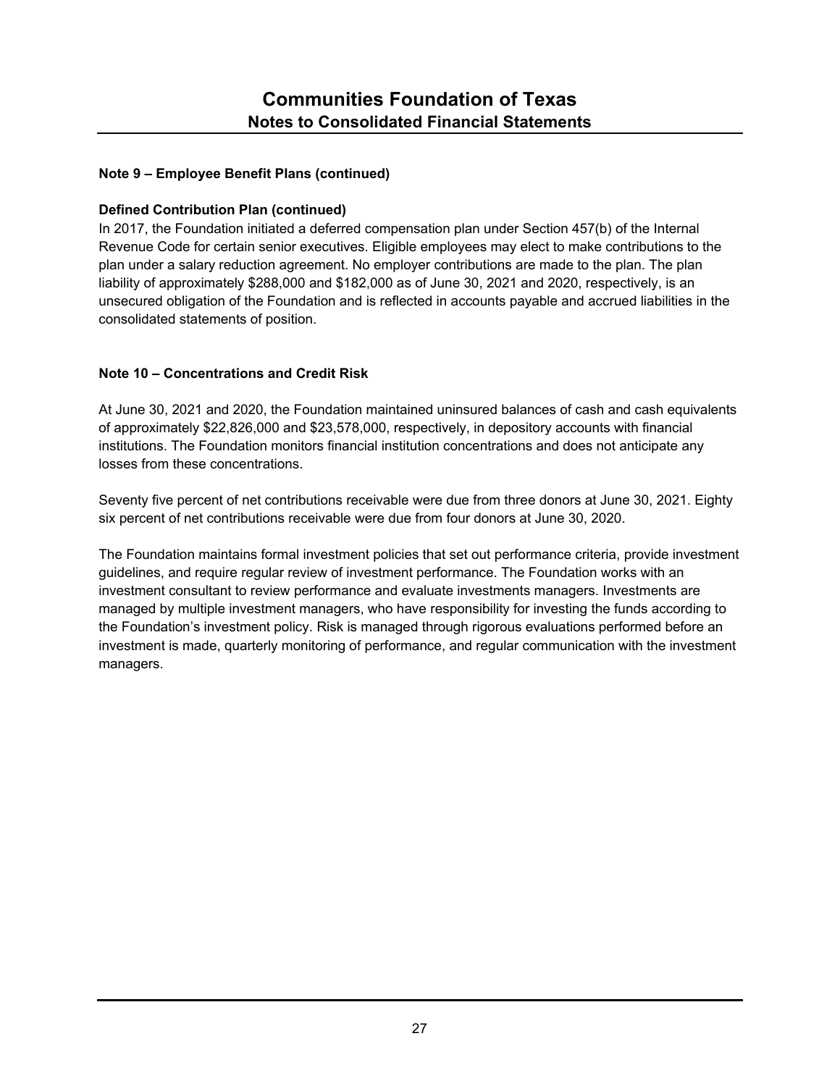## **Note 9 – Employee Benefit Plans (continued)**

## **Defined Contribution Plan (continued)**

In 2017, the Foundation initiated a deferred compensation plan under Section 457(b) of the Internal Revenue Code for certain senior executives. Eligible employees may elect to make contributions to the plan under a salary reduction agreement. No employer contributions are made to the plan. The plan liability of approximately \$288,000 and \$182,000 as of June 30, 2021 and 2020, respectively, is an unsecured obligation of the Foundation and is reflected in accounts payable and accrued liabilities in the consolidated statements of position.

## **Note 10 – Concentrations and Credit Risk**

At June 30, 2021 and 2020, the Foundation maintained uninsured balances of cash and cash equivalents of approximately \$22,826,000 and \$23,578,000, respectively, in depository accounts with financial institutions. The Foundation monitors financial institution concentrations and does not anticipate any losses from these concentrations.

Seventy five percent of net contributions receivable were due from three donors at June 30, 2021. Eighty six percent of net contributions receivable were due from four donors at June 30, 2020.

The Foundation maintains formal investment policies that set out performance criteria, provide investment guidelines, and require regular review of investment performance. The Foundation works with an investment consultant to review performance and evaluate investments managers. Investments are managed by multiple investment managers, who have responsibility for investing the funds according to the Foundation's investment policy. Risk is managed through rigorous evaluations performed before an investment is made, quarterly monitoring of performance, and regular communication with the investment managers.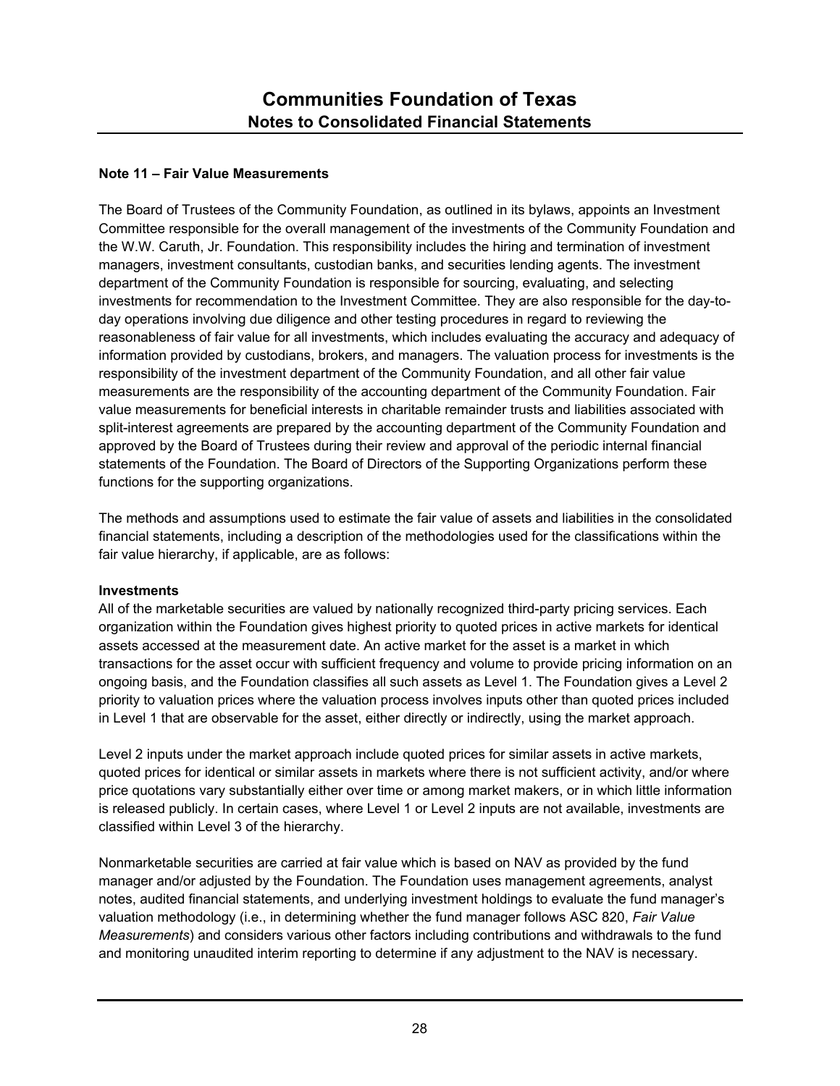## **Note 11 – Fair Value Measurements**

The Board of Trustees of the Community Foundation, as outlined in its bylaws, appoints an Investment Committee responsible for the overall management of the investments of the Community Foundation and the W.W. Caruth, Jr. Foundation. This responsibility includes the hiring and termination of investment managers, investment consultants, custodian banks, and securities lending agents. The investment department of the Community Foundation is responsible for sourcing, evaluating, and selecting investments for recommendation to the Investment Committee. They are also responsible for the day-today operations involving due diligence and other testing procedures in regard to reviewing the reasonableness of fair value for all investments, which includes evaluating the accuracy and adequacy of information provided by custodians, brokers, and managers. The valuation process for investments is the responsibility of the investment department of the Community Foundation, and all other fair value measurements are the responsibility of the accounting department of the Community Foundation. Fair value measurements for beneficial interests in charitable remainder trusts and liabilities associated with split-interest agreements are prepared by the accounting department of the Community Foundation and approved by the Board of Trustees during their review and approval of the periodic internal financial statements of the Foundation. The Board of Directors of the Supporting Organizations perform these functions for the supporting organizations.

The methods and assumptions used to estimate the fair value of assets and liabilities in the consolidated financial statements, including a description of the methodologies used for the classifications within the fair value hierarchy, if applicable, are as follows:

#### **Investments**

All of the marketable securities are valued by nationally recognized third-party pricing services. Each organization within the Foundation gives highest priority to quoted prices in active markets for identical assets accessed at the measurement date. An active market for the asset is a market in which transactions for the asset occur with sufficient frequency and volume to provide pricing information on an ongoing basis, and the Foundation classifies all such assets as Level 1. The Foundation gives a Level 2 priority to valuation prices where the valuation process involves inputs other than quoted prices included in Level 1 that are observable for the asset, either directly or indirectly, using the market approach.

Level 2 inputs under the market approach include quoted prices for similar assets in active markets, quoted prices for identical or similar assets in markets where there is not sufficient activity, and/or where price quotations vary substantially either over time or among market makers, or in which little information is released publicly. In certain cases, where Level 1 or Level 2 inputs are not available, investments are classified within Level 3 of the hierarchy.

Nonmarketable securities are carried at fair value which is based on NAV as provided by the fund manager and/or adjusted by the Foundation. The Foundation uses management agreements, analyst notes, audited financial statements, and underlying investment holdings to evaluate the fund manager's valuation methodology (i.e., in determining whether the fund manager follows ASC 820, *Fair Value Measurements*) and considers various other factors including contributions and withdrawals to the fund and monitoring unaudited interim reporting to determine if any adjustment to the NAV is necessary.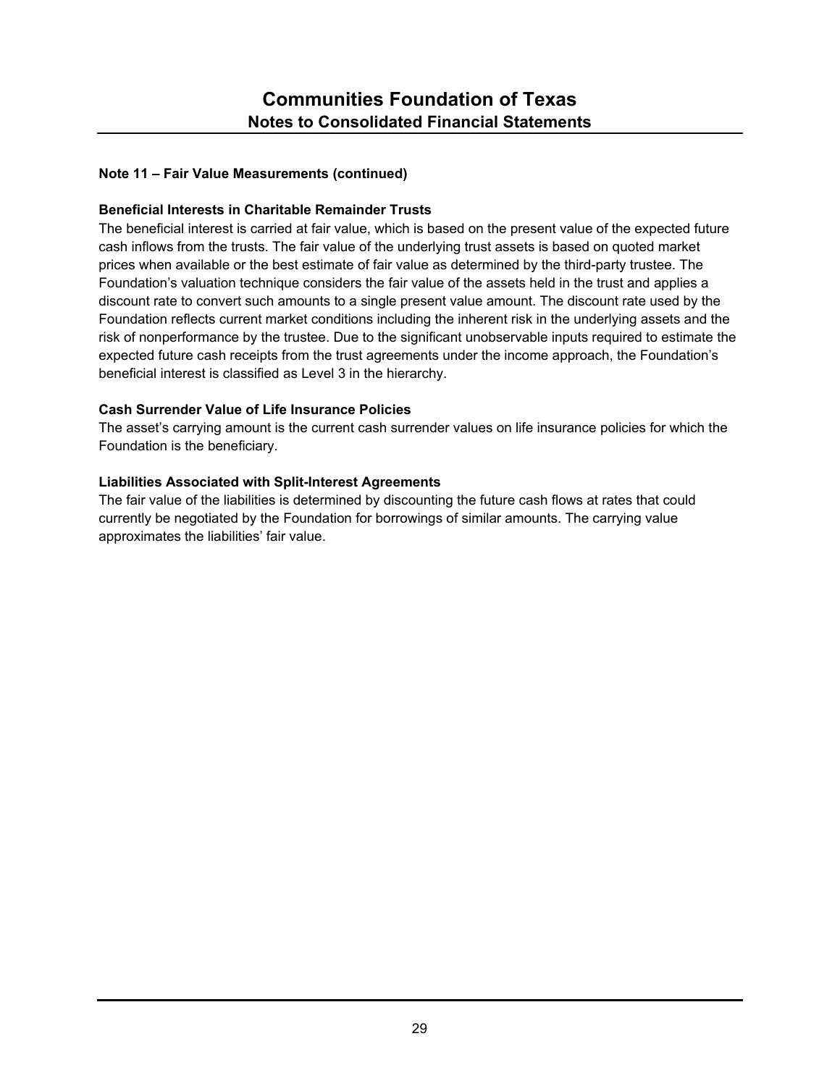## **Beneficial Interests in Charitable Remainder Trusts**

The beneficial interest is carried at fair value, which is based on the present value of the expected future cash inflows from the trusts. The fair value of the underlying trust assets is based on quoted market prices when available or the best estimate of fair value as determined by the third-party trustee. The Foundation's valuation technique considers the fair value of the assets held in the trust and applies a discount rate to convert such amounts to a single present value amount. The discount rate used by the Foundation reflects current market conditions including the inherent risk in the underlying assets and the risk of nonperformance by the trustee. Due to the significant unobservable inputs required to estimate the expected future cash receipts from the trust agreements under the income approach, the Foundation's beneficial interest is classified as Level 3 in the hierarchy.

## **Cash Surrender Value of Life Insurance Policies**

The asset's carrying amount is the current cash surrender values on life insurance policies for which the Foundation is the beneficiary.

## **Liabilities Associated with Split-Interest Agreements**

The fair value of the liabilities is determined by discounting the future cash flows at rates that could currently be negotiated by the Foundation for borrowings of similar amounts. The carrying value approximates the liabilities' fair value.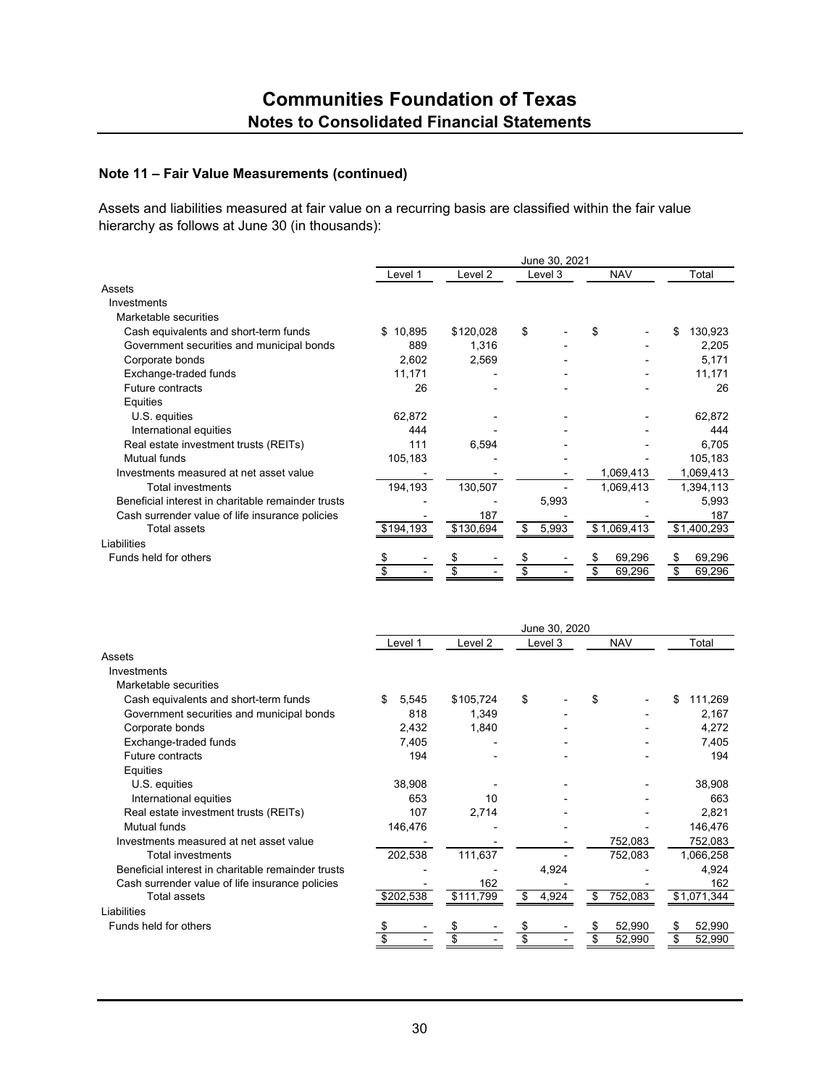Assets and liabilities measured at fair value on a recurring basis are classified within the fair value hierarchy as follows at June 30 (in thousands):

|                                                    |              | June 30, 2021      |             |              |              |  |  |  |
|----------------------------------------------------|--------------|--------------------|-------------|--------------|--------------|--|--|--|
|                                                    | Level 1      | Level <sub>2</sub> | Level 3     | <b>NAV</b>   | Total        |  |  |  |
| Assets                                             |              |                    |             |              |              |  |  |  |
| Investments                                        |              |                    |             |              |              |  |  |  |
| Marketable securities                              |              |                    |             |              |              |  |  |  |
| Cash equivalents and short-term funds              | \$<br>10,895 | \$120,028          | \$          | \$           | 130,923      |  |  |  |
| Government securities and municipal bonds          | 889          | 1,316              |             |              | 2,205        |  |  |  |
| Corporate bonds                                    | 2,602        | 2,569              |             |              | 5,171        |  |  |  |
| Exchange-traded funds                              | 11,171       |                    |             |              | 11,171       |  |  |  |
| Future contracts                                   | 26           |                    |             |              | 26           |  |  |  |
| Equities                                           |              |                    |             |              |              |  |  |  |
| U.S. equities                                      | 62,872       |                    |             |              | 62,872       |  |  |  |
| International equities                             | 444          |                    |             |              | 444          |  |  |  |
| Real estate investment trusts (REITs)              | 111          | 6,594              |             |              | 6,705        |  |  |  |
| Mutual funds                                       | 105,183      |                    |             |              | 105,183      |  |  |  |
| Investments measured at net asset value            |              |                    |             | 1,069,413    | 1,069,413    |  |  |  |
| <b>Total investments</b>                           | 194,193      | 130,507            |             | 1,069,413    | 1,394,113    |  |  |  |
| Beneficial interest in charitable remainder trusts |              |                    | 5,993       |              | 5,993        |  |  |  |
| Cash surrender value of life insurance policies    |              | 187                |             |              | 187          |  |  |  |
| <b>Total assets</b>                                | \$194,193    | \$130,694          | 5,993<br>\$ | \$1,069,413  | \$1,400,293  |  |  |  |
| Liabilities                                        |              |                    |             |              |              |  |  |  |
| Funds held for others                              |              |                    |             | 69,296<br>S  | 69,296<br>\$ |  |  |  |
|                                                    |              |                    |             | \$<br>69,296 | \$<br>69,296 |  |  |  |
|                                                    |              |                    |             |              |              |  |  |  |
|                                                    |              |                    |             |              |              |  |  |  |

|                                                    | June 30, 2020 |           |             |               |               |  |  |
|----------------------------------------------------|---------------|-----------|-------------|---------------|---------------|--|--|
|                                                    | Level 1       | Level 2   | Level 3     | <b>NAV</b>    | Total         |  |  |
| Assets                                             |               |           |             |               |               |  |  |
| Investments                                        |               |           |             |               |               |  |  |
| Marketable securities                              |               |           |             |               |               |  |  |
| Cash equivalents and short-term funds              | \$<br>5,545   | \$105,724 | \$          | \$            | \$<br>111,269 |  |  |
| Government securities and municipal bonds          | 818           | 1,349     |             |               | 2,167         |  |  |
| Corporate bonds                                    | 2,432         | 1,840     |             |               | 4,272         |  |  |
| Exchange-traded funds                              | 7,405         |           |             |               | 7,405         |  |  |
| Future contracts                                   | 194           |           |             |               | 194           |  |  |
| Equities                                           |               |           |             |               |               |  |  |
| U.S. equities                                      | 38,908        |           |             |               | 38,908        |  |  |
| International equities                             | 653           | 10        |             |               | 663           |  |  |
| Real estate investment trusts (REITs)              | 107           | 2,714     |             |               | 2,821         |  |  |
| <b>Mutual funds</b>                                | 146,476       |           |             |               | 146,476       |  |  |
| Investments measured at net asset value            |               |           |             | 752,083       | 752,083       |  |  |
| Total investments                                  | 202,538       | 111,637   |             | 752,083       | 1,066,258     |  |  |
| Beneficial interest in charitable remainder trusts |               |           | 4,924       |               | 4,924         |  |  |
| Cash surrender value of life insurance policies    |               | 162       |             |               | 162           |  |  |
| <b>Total assets</b>                                | \$202,538     | \$111,799 | 4,924<br>\$ | 752,083<br>\$ | \$1,071,344   |  |  |
| Liabilities                                        |               |           |             |               |               |  |  |
| Funds held for others                              | \$            |           | \$          | 52,990<br>\$  | 52,990<br>S   |  |  |
|                                                    | \$            | \$        | \$          | \$<br>52,990  | \$<br>52,990  |  |  |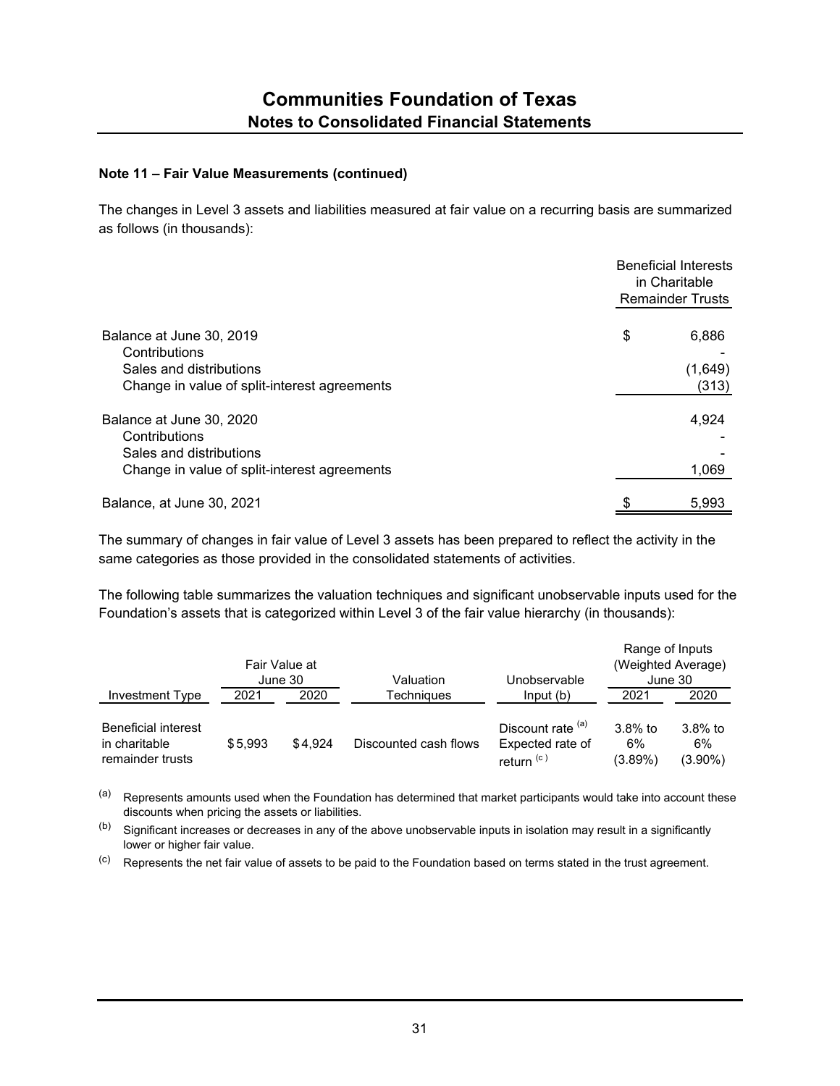The changes in Level 3 assets and liabilities measured at fair value on a recurring basis are summarized as follows (in thousands):

|                                                                                                                      | <b>Beneficial Interests</b><br>in Charitable<br><b>Remainder Trusts</b> |  |  |
|----------------------------------------------------------------------------------------------------------------------|-------------------------------------------------------------------------|--|--|
| Balance at June 30, 2019<br>Contributions<br>Sales and distributions<br>Change in value of split-interest agreements | \$<br>6,886<br>(1,649)<br>(313)                                         |  |  |
| Balance at June 30, 2020<br>Contributions<br>Sales and distributions<br>Change in value of split-interest agreements | 4,924<br>1,069                                                          |  |  |
| Balance, at June 30, 2021                                                                                            | \$<br>5,993                                                             |  |  |

The summary of changes in fair value of Level 3 assets has been prepared to reflect the activity in the same categories as those provided in the consolidated statements of activities.

The following table summarizes the valuation techniques and significant unobservable inputs used for the Foundation's assets that is categorized within Level 3 of the fair value hierarchy (in thousands):

|                                                                 |         | Fair Value at<br>June 30 | Valuation             | Unobservable                                                   | Range of Inputs                | (Weighted Average)<br>June 30  |
|-----------------------------------------------------------------|---------|--------------------------|-----------------------|----------------------------------------------------------------|--------------------------------|--------------------------------|
| Investment Type                                                 | 2021    | 2020                     | Techniaues            | Input(b)                                                       | 2021                           | 2020                           |
| <b>Beneficial interest</b><br>in charitable<br>remainder trusts | \$5.993 | \$4.924                  | Discounted cash flows | Discount rate (a)<br>Expected rate of<br>return <sup>(c)</sup> | $3.8\%$ to<br>6%<br>$(3.89\%)$ | $3.8\%$ to<br>6%<br>$(3.90\%)$ |

(a) Represents amounts used when the Foundation has determined that market participants would take into account these discounts when pricing the assets or liabilities.

 $(b)$  Significant increases or decreases in any of the above unobservable inputs in isolation may result in a significantly lower or higher fair value.

(c) Represents the net fair value of assets to be paid to the Foundation based on terms stated in the trust agreement.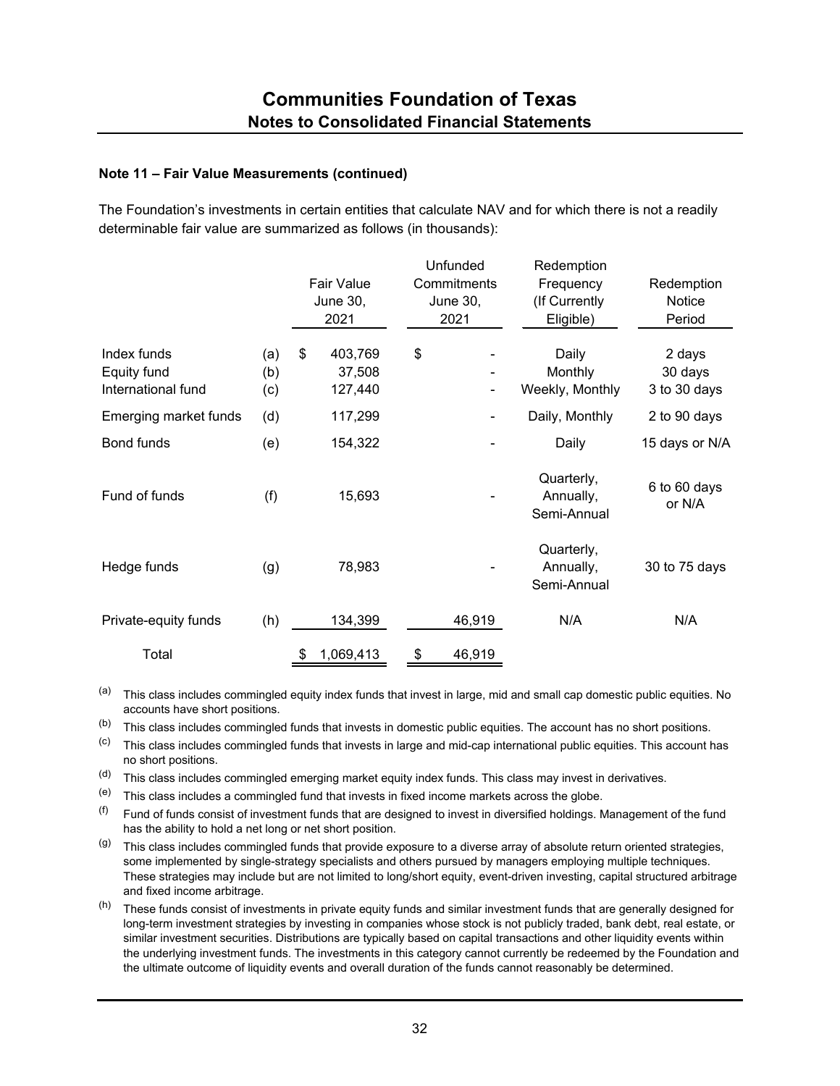The Foundation's investments in certain entities that calculate NAV and for which there is not a readily determinable fair value are summarized as follows (in thousands):

|                                                  |                   | <b>Fair Value</b><br><b>June 30,</b><br>2021 | Unfunded<br>Commitments<br><b>June 30,</b><br>2021 | Redemption<br>Frequency<br>(If Currently<br>Eligible) | Redemption<br>Notice<br>Period    |
|--------------------------------------------------|-------------------|----------------------------------------------|----------------------------------------------------|-------------------------------------------------------|-----------------------------------|
| Index funds<br>Equity fund<br>International fund | (a)<br>(b)<br>(c) | \$<br>403,769<br>37,508<br>127,440           | \$<br>۰                                            | Daily<br>Monthly<br>Weekly, Monthly                   | 2 days<br>30 days<br>3 to 30 days |
| Emerging market funds                            | (d)               | 117,299                                      | ۰                                                  | Daily, Monthly                                        | 2 to 90 days                      |
| Bond funds                                       | (e)               | 154,322                                      |                                                    | Daily                                                 | 15 days or N/A                    |
| Fund of funds                                    | (f)               | 15,693                                       |                                                    | Quarterly,<br>Annually,<br>Semi-Annual                | 6 to 60 days<br>or N/A            |
| Hedge funds                                      | (g)               | 78,983                                       |                                                    | Quarterly,<br>Annually,<br>Semi-Annual                | 30 to 75 days                     |
| Private-equity funds                             | (h)               | 134,399                                      | 46,919                                             | N/A                                                   | N/A                               |
| Total                                            |                   | 1,069,413<br>\$                              | \$<br>46,919                                       |                                                       |                                   |

(a) This class includes commingled equity index funds that invest in large, mid and small cap domestic public equities. No accounts have short positions.

(b) This class includes commingled funds that invests in domestic public equities. The account has no short positions.

(c) This class includes commingled funds that invests in large and mid-cap international public equities. This account has no short positions.

(d) This class includes commingled emerging market equity index funds. This class may invest in derivatives.

 $(e)$  This class includes a commingled fund that invests in fixed income markets across the globe.

 $($ f) Fund of funds consist of investment funds that are designed to invest in diversified holdings. Management of the fund has the ability to hold a net long or net short position.

 $(9)$  This class includes commingled funds that provide exposure to a diverse array of absolute return oriented strategies, some implemented by single-strategy specialists and others pursued by managers employing multiple techniques. These strategies may include but are not limited to long/short equity, event-driven investing, capital structured arbitrage and fixed income arbitrage.

 $(h)$  These funds consist of investments in private equity funds and similar investment funds that are generally designed for long-term investment strategies by investing in companies whose stock is not publicly traded, bank debt, real estate, or similar investment securities. Distributions are typically based on capital transactions and other liquidity events within the underlying investment funds. The investments in this category cannot currently be redeemed by the Foundation and the ultimate outcome of liquidity events and overall duration of the funds cannot reasonably be determined.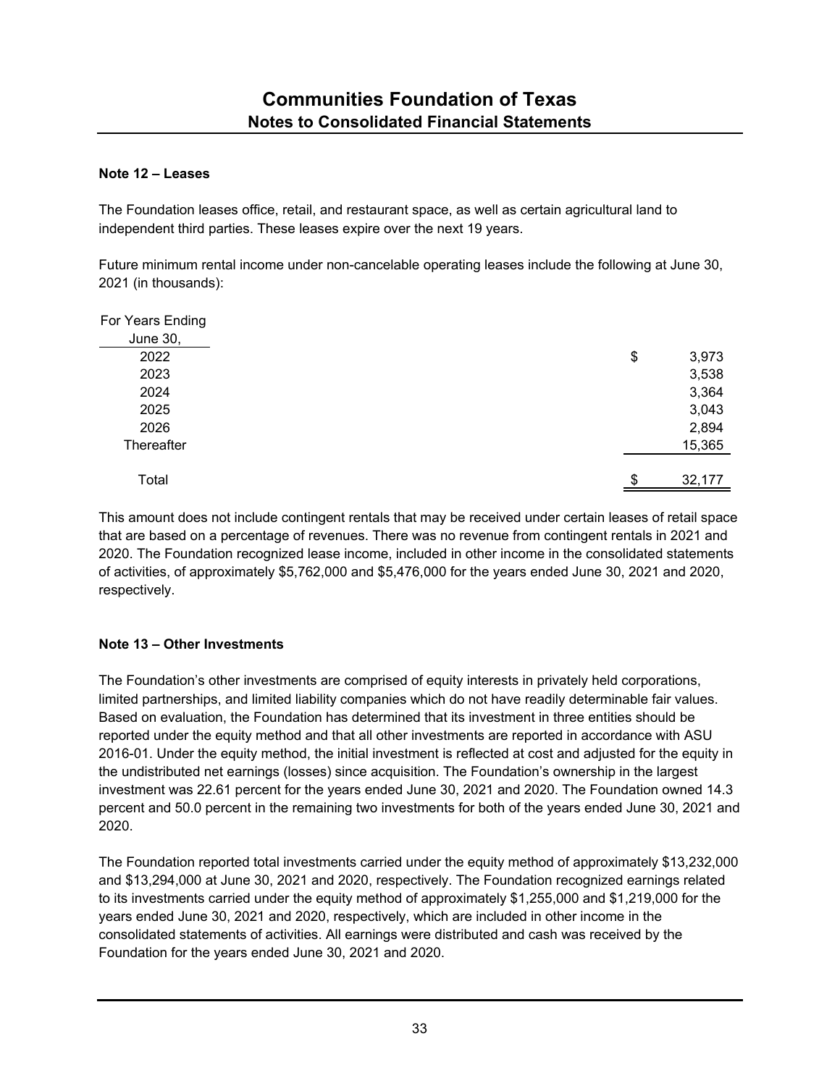## **Note 12 – Leases**

The Foundation leases office, retail, and restaurant space, as well as certain agricultural land to independent third parties. These leases expire over the next 19 years.

Future minimum rental income under non-cancelable operating leases include the following at June 30, 2021 (in thousands):

| For Years Ending |              |
|------------------|--------------|
| June 30,         |              |
| 2022             | 3,973<br>\$  |
| 2023             | 3,538        |
| 2024             | 3,364        |
| 2025             | 3,043        |
| 2026             | 2,894        |
| Thereafter       | 15,365       |
|                  |              |
| Total            | \$<br>32,177 |

This amount does not include contingent rentals that may be received under certain leases of retail space that are based on a percentage of revenues. There was no revenue from contingent rentals in 2021 and 2020. The Foundation recognized lease income, included in other income in the consolidated statements of activities, of approximately \$5,762,000 and \$5,476,000 for the years ended June 30, 2021 and 2020, respectively.

## **Note 13 – Other Investments**

The Foundation's other investments are comprised of equity interests in privately held corporations, limited partnerships, and limited liability companies which do not have readily determinable fair values. Based on evaluation, the Foundation has determined that its investment in three entities should be reported under the equity method and that all other investments are reported in accordance with ASU 2016-01. Under the equity method, the initial investment is reflected at cost and adjusted for the equity in the undistributed net earnings (losses) since acquisition. The Foundation's ownership in the largest investment was 22.61 percent for the years ended June 30, 2021 and 2020. The Foundation owned 14.3 percent and 50.0 percent in the remaining two investments for both of the years ended June 30, 2021 and 2020.

The Foundation reported total investments carried under the equity method of approximately \$13,232,000 and \$13,294,000 at June 30, 2021 and 2020, respectively. The Foundation recognized earnings related to its investments carried under the equity method of approximately \$1,255,000 and \$1,219,000 for the years ended June 30, 2021 and 2020, respectively, which are included in other income in the consolidated statements of activities. All earnings were distributed and cash was received by the Foundation for the years ended June 30, 2021 and 2020.